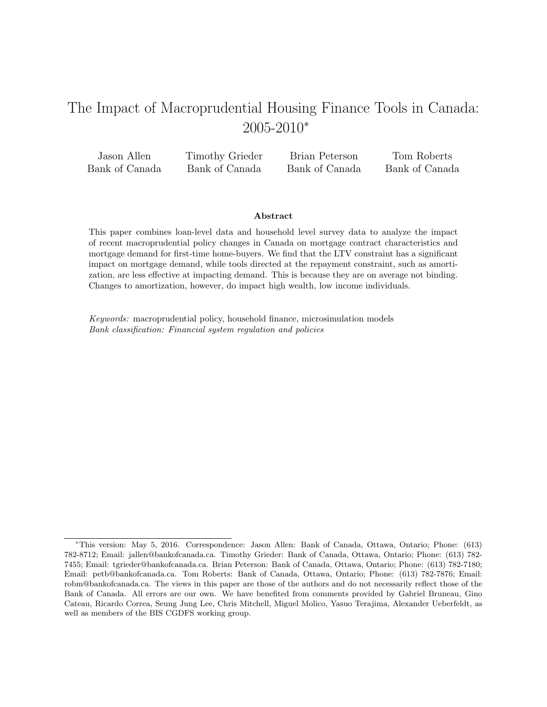# The Impact of Macroprudential Housing Finance Tools in Canada: 2005-2010<sup>∗</sup>

| Jason Allen    | Timothy Grieder | Brian Peterson | Tom Roberts    |
|----------------|-----------------|----------------|----------------|
| Bank of Canada | Bank of Canada  | Bank of Canada | Bank of Canada |

### Abstract

This paper combines loan-level data and household level survey data to analyze the impact of recent macroprudential policy changes in Canada on mortgage contract characteristics and mortgage demand for first-time home-buyers. We find that the LTV constraint has a significant impact on mortgage demand, while tools directed at the repayment constraint, such as amortization, are less effective at impacting demand. This is because they are on average not binding. Changes to amortization, however, do impact high wealth, low income individuals.

Keywords: macroprudential policy, household finance, microsimulation models Bank classification: Financial system regulation and policies

<sup>∗</sup>This version: May 5, 2016. Correspondence: Jason Allen: Bank of Canada, Ottawa, Ontario; Phone: (613) 782-8712; Email: jallen@bankofcanada.ca. Timothy Grieder: Bank of Canada, Ottawa, Ontario; Phone: (613) 782- 7455; Email: tgrieder@bankofcanada.ca. Brian Peterson: Bank of Canada, Ottawa, Ontario; Phone: (613) 782-7180; Email: petb@bankofcanada.ca. Tom Roberts: Bank of Canada, Ottawa, Ontario; Phone: (613) 782-7876; Email: robm@bankofcanada.ca. The views in this paper are those of the authors and do not necessarily reflect those of the Bank of Canada. All errors are our own. We have benefited from comments provided by Gabriel Bruneau, Gino Cateau, Ricardo Correa, Seung Jung Lee, Chris Mitchell, Miguel Molico, Yasuo Terajima, Alexander Ueberfeldt, as well as members of the BIS CGDFS working group.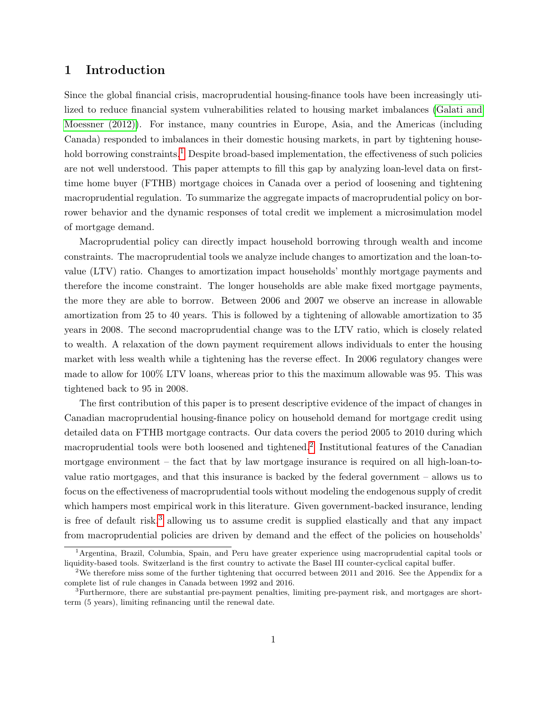### 1 Introduction

Since the global financial crisis, macroprudential housing-finance tools have been increasingly utilized to reduce financial system vulnerabilities related to housing market imbalances [\(Galati and](#page-28-0) [Moessner \(2012\)\)](#page-28-0). For instance, many countries in Europe, Asia, and the Americas (including Canada) responded to imbalances in their domestic housing markets, in part by tightening house-hold borrowing constraints.<sup>[1](#page-1-0)</sup> Despite broad-based implementation, the effectiveness of such policies are not well understood. This paper attempts to fill this gap by analyzing loan-level data on firsttime home buyer (FTHB) mortgage choices in Canada over a period of loosening and tightening macroprudential regulation. To summarize the aggregate impacts of macroprudential policy on borrower behavior and the dynamic responses of total credit we implement a microsimulation model of mortgage demand.

Macroprudential policy can directly impact household borrowing through wealth and income constraints. The macroprudential tools we analyze include changes to amortization and the loan-tovalue (LTV) ratio. Changes to amortization impact households' monthly mortgage payments and therefore the income constraint. The longer households are able make fixed mortgage payments, the more they are able to borrow. Between 2006 and 2007 we observe an increase in allowable amortization from 25 to 40 years. This is followed by a tightening of allowable amortization to 35 years in 2008. The second macroprudential change was to the LTV ratio, which is closely related to wealth. A relaxation of the down payment requirement allows individuals to enter the housing market with less wealth while a tightening has the reverse effect. In 2006 regulatory changes were made to allow for 100% LTV loans, whereas prior to this the maximum allowable was 95. This was tightened back to 95 in 2008.

The first contribution of this paper is to present descriptive evidence of the impact of changes in Canadian macroprudential housing-finance policy on household demand for mortgage credit using detailed data on FTHB mortgage contracts. Our data covers the period 2005 to 2010 during which macroprudential tools were both loosened and tightened.<sup>[2](#page-1-1)</sup> Institutional features of the Canadian mortgage environment – the fact that by law mortgage insurance is required on all high-loan-tovalue ratio mortgages, and that this insurance is backed by the federal government – allows us to focus on the effectiveness of macroprudential tools without modeling the endogenous supply of credit which hampers most empirical work in this literature. Given government-backed insurance, lending is free of default risk, $3$  allowing us to assume credit is supplied elastically and that any impact from macroprudential policies are driven by demand and the effect of the policies on households'

<span id="page-1-0"></span><sup>1</sup>Argentina, Brazil, Columbia, Spain, and Peru have greater experience using macroprudential capital tools or liquidity-based tools. Switzerland is the first country to activate the Basel III counter-cyclical capital buffer.

<span id="page-1-1"></span><sup>2</sup>We therefore miss some of the further tightening that occurred between 2011 and 2016. See the Appendix for a complete list of rule changes in Canada between 1992 and 2016.

<span id="page-1-2"></span><sup>3</sup>Furthermore, there are substantial pre-payment penalties, limiting pre-payment risk, and mortgages are shortterm (5 years), limiting refinancing until the renewal date.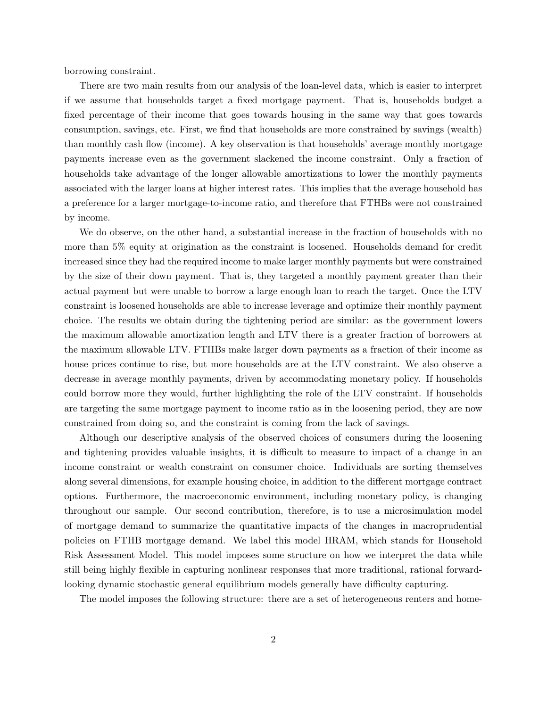borrowing constraint.

There are two main results from our analysis of the loan-level data, which is easier to interpret if we assume that households target a fixed mortgage payment. That is, households budget a fixed percentage of their income that goes towards housing in the same way that goes towards consumption, savings, etc. First, we find that households are more constrained by savings (wealth) than monthly cash flow (income). A key observation is that households' average monthly mortgage payments increase even as the government slackened the income constraint. Only a fraction of households take advantage of the longer allowable amortizations to lower the monthly payments associated with the larger loans at higher interest rates. This implies that the average household has a preference for a larger mortgage-to-income ratio, and therefore that FTHBs were not constrained by income.

We do observe, on the other hand, a substantial increase in the fraction of households with no more than 5% equity at origination as the constraint is loosened. Households demand for credit increased since they had the required income to make larger monthly payments but were constrained by the size of their down payment. That is, they targeted a monthly payment greater than their actual payment but were unable to borrow a large enough loan to reach the target. Once the LTV constraint is loosened households are able to increase leverage and optimize their monthly payment choice. The results we obtain during the tightening period are similar: as the government lowers the maximum allowable amortization length and LTV there is a greater fraction of borrowers at the maximum allowable LTV. FTHBs make larger down payments as a fraction of their income as house prices continue to rise, but more households are at the LTV constraint. We also observe a decrease in average monthly payments, driven by accommodating monetary policy. If households could borrow more they would, further highlighting the role of the LTV constraint. If households are targeting the same mortgage payment to income ratio as in the loosening period, they are now constrained from doing so, and the constraint is coming from the lack of savings.

Although our descriptive analysis of the observed choices of consumers during the loosening and tightening provides valuable insights, it is difficult to measure to impact of a change in an income constraint or wealth constraint on consumer choice. Individuals are sorting themselves along several dimensions, for example housing choice, in addition to the different mortgage contract options. Furthermore, the macroeconomic environment, including monetary policy, is changing throughout our sample. Our second contribution, therefore, is to use a microsimulation model of mortgage demand to summarize the quantitative impacts of the changes in macroprudential policies on FTHB mortgage demand. We label this model HRAM, which stands for Household Risk Assessment Model. This model imposes some structure on how we interpret the data while still being highly flexible in capturing nonlinear responses that more traditional, rational forwardlooking dynamic stochastic general equilibrium models generally have difficulty capturing.

The model imposes the following structure: there are a set of heterogeneous renters and home-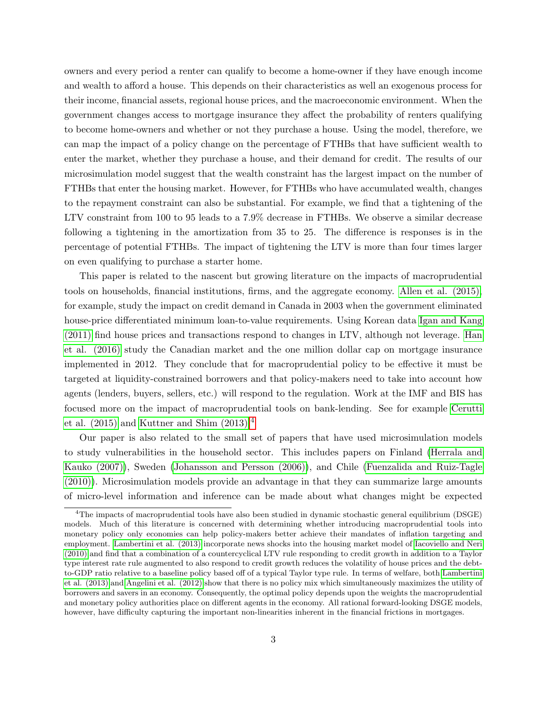owners and every period a renter can qualify to become a home-owner if they have enough income and wealth to afford a house. This depends on their characteristics as well an exogenous process for their income, financial assets, regional house prices, and the macroeconomic environment. When the government changes access to mortgage insurance they affect the probability of renters qualifying to become home-owners and whether or not they purchase a house. Using the model, therefore, we can map the impact of a policy change on the percentage of FTHBs that have sufficient wealth to enter the market, whether they purchase a house, and their demand for credit. The results of our microsimulation model suggest that the wealth constraint has the largest impact on the number of FTHBs that enter the housing market. However, for FTHBs who have accumulated wealth, changes to the repayment constraint can also be substantial. For example, we find that a tightening of the LTV constraint from 100 to 95 leads to a 7.9% decrease in FTHBs. We observe a similar decrease following a tightening in the amortization from 35 to 25. The difference is responses is in the percentage of potential FTHBs. The impact of tightening the LTV is more than four times larger on even qualifying to purchase a starter home.

This paper is related to the nascent but growing literature on the impacts of macroprudential tools on households, financial institutions, firms, and the aggregate economy. [Allen et al. \(2015\),](#page-28-1) for example, study the impact on credit demand in Canada in 2003 when the government eliminated house-price differentiated minimum loan-to-value requirements. Using Korean data [Igan and Kang](#page-29-0) [\(2011\)](#page-29-0) find house prices and transactions respond to changes in LTV, although not leverage. [Han](#page-28-2) [et al. \(2016\)](#page-28-2) study the Canadian market and the one million dollar cap on mortgage insurance implemented in 2012. They conclude that for macroprudential policy to be effective it must be targeted at liquidity-constrained borrowers and that policy-makers need to take into account how agents (lenders, buyers, sellers, etc.) will respond to the regulation. Work at the IMF and BIS has focused more on the impact of macroprudential tools on bank-lending. See for example [Cerutti](#page-28-3) et al.  $(2015)$  and Kuttner and Shim  $(2013).<sup>4</sup>$  $(2013).<sup>4</sup>$  $(2013).<sup>4</sup>$ 

Our paper is also related to the small set of papers that have used microsimulation models to study vulnerabilities in the household sector. This includes papers on Finland [\(Herrala and](#page-29-2) [Kauko \(2007\)\)](#page-29-2), Sweden [\(Johansson and Persson \(2006\)\)](#page-29-3), and Chile [\(Fuenzalida and Ruiz-Tagle](#page-28-4) [\(2010\)\)](#page-28-4). Microsimulation models provide an advantage in that they can summarize large amounts of micro-level information and inference can be made about what changes might be expected

<span id="page-3-0"></span><sup>&</sup>lt;sup>4</sup>The impacts of macroprudential tools have also been studied in dynamic stochastic general equilibrium (DSGE) models. Much of this literature is concerned with determining whether introducing macroprudential tools into monetary policy only economies can help policy-makers better achieve their mandates of inflation targeting and employment. [Lambertini et al. \(2013\)](#page-29-4) incorporate news shocks into the housing market model of [Iacoviello and Neri](#page-29-5) [\(2010\)](#page-29-5) and find that a combination of a countercyclical LTV rule responding to credit growth in addition to a Taylor type interest rate rule augmented to also respond to credit growth reduces the volatility of house prices and the debtto-GDP ratio relative to a baseline policy based off of a typical Taylor type rule. In terms of welfare, both [Lambertini](#page-29-4) [et al. \(2013\)](#page-29-4) and [Angelini et al. \(2012\)](#page-28-5) show that there is no policy mix which simultaneously maximizes the utility of borrowers and savers in an economy. Consequently, the optimal policy depends upon the weights the macroprudential and monetary policy authorities place on different agents in the economy. All rational forward-looking DSGE models, however, have difficulty capturing the important non-linearities inherent in the financial frictions in mortgages.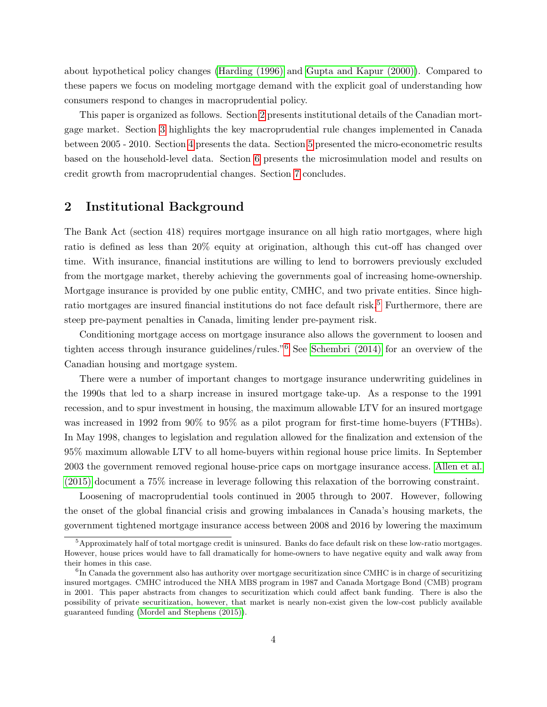about hypothetical policy changes [\(Harding \(1996\)](#page-28-6) and [Gupta and Kapur \(2000\)\)](#page-28-7). Compared to these papers we focus on modeling mortgage demand with the explicit goal of understanding how consumers respond to changes in macroprudential policy.

This paper is organized as follows. Section [2](#page-4-0) presents institutional details of the Canadian mortgage market. Section [3](#page-5-0) highlights the key macroprudential rule changes implemented in Canada between 2005 - 2010. Section [4](#page-7-0) presents the data. Section [5](#page-12-0) presented the micro-econometric results based on the household-level data. Section [6](#page-17-0) presents the microsimulation model and results on credit growth from macroprudential changes. Section [7](#page-27-0) concludes.

### <span id="page-4-0"></span>2 Institutional Background

The Bank Act (section 418) requires mortgage insurance on all high ratio mortgages, where high ratio is defined as less than 20% equity at origination, although this cut-off has changed over time. With insurance, financial institutions are willing to lend to borrowers previously excluded from the mortgage market, thereby achieving the governments goal of increasing home-ownership. Mortgage insurance is provided by one public entity, CMHC, and two private entities. Since high-ratio mortgages are insured financial institutions do not face default risk.<sup>[5](#page-4-1)</sup> Furthermore, there are steep pre-payment penalties in Canada, limiting lender pre-payment risk.

Conditioning mortgage access on mortgage insurance also allows the government to loosen and tighten access through insurance guidelines/rules."[6](#page-4-2) See [Schembri \(2014\)](#page-29-6) for an overview of the Canadian housing and mortgage system.

There were a number of important changes to mortgage insurance underwriting guidelines in the 1990s that led to a sharp increase in insured mortgage take-up. As a response to the 1991 recession, and to spur investment in housing, the maximum allowable LTV for an insured mortgage was increased in 1992 from 90% to 95% as a pilot program for first-time home-buyers (FTHBs). In May 1998, changes to legislation and regulation allowed for the finalization and extension of the 95% maximum allowable LTV to all home-buyers within regional house price limits. In September 2003 the government removed regional house-price caps on mortgage insurance access. [Allen et al.](#page-28-1) [\(2015\)](#page-28-1) document a 75% increase in leverage following this relaxation of the borrowing constraint.

Loosening of macroprudential tools continued in 2005 through to 2007. However, following the onset of the global financial crisis and growing imbalances in Canada's housing markets, the government tightened mortgage insurance access between 2008 and 2016 by lowering the maximum

<span id="page-4-1"></span><sup>&</sup>lt;sup>5</sup>Approximately half of total mortgage credit is uninsured. Banks do face default risk on these low-ratio mortgages. However, house prices would have to fall dramatically for home-owners to have negative equity and walk away from their homes in this case.

<span id="page-4-2"></span><sup>&</sup>lt;sup>6</sup>In Canada the government also has authority over mortgage securitization since CMHC is in charge of securitizing insured mortgages. CMHC introduced the NHA MBS program in 1987 and Canada Mortgage Bond (CMB) program in 2001. This paper abstracts from changes to securitization which could affect bank funding. There is also the possibility of private securitization, however, that market is nearly non-exist given the low-cost publicly available guaranteed funding [\(Mordel and Stephens \(2015\)\)](#page-29-7).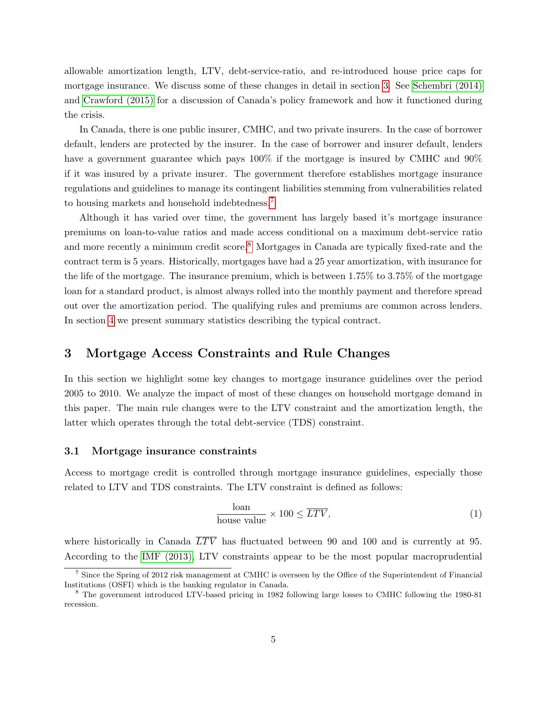allowable amortization length, LTV, debt-service-ratio, and re-introduced house price caps for mortgage insurance. We discuss some of these changes in detail in section [3.](#page-5-0) See [Schembri \(2014\)](#page-29-6) and [Crawford \(2015\)](#page-28-8) for a discussion of Canada's policy framework and how it functioned during the crisis.

In Canada, there is one public insurer, CMHC, and two private insurers. In the case of borrower default, lenders are protected by the insurer. In the case of borrower and insurer default, lenders have a government guarantee which pays  $100\%$  if the mortgage is insured by CMHC and  $90\%$ if it was insured by a private insurer. The government therefore establishes mortgage insurance regulations and guidelines to manage its contingent liabilities stemming from vulnerabilities related to housing markets and household indebtedness.[7](#page-5-1)

Although it has varied over time, the government has largely based it's mortgage insurance premiums on loan-to-value ratios and made access conditional on a maximum debt-service ratio and more recently a minimum credit score.<sup>[8](#page-5-2)</sup> Mortgages in Canada are typically fixed-rate and the contract term is 5 years. Historically, mortgages have had a 25 year amortization, with insurance for the life of the mortgage. The insurance premium, which is between  $1.75\%$  to  $3.75\%$  of the mortgage loan for a standard product, is almost always rolled into the monthly payment and therefore spread out over the amortization period. The qualifying rules and premiums are common across lenders. In section [4](#page-7-0) we present summary statistics describing the typical contract.

### <span id="page-5-0"></span>3 Mortgage Access Constraints and Rule Changes

In this section we highlight some key changes to mortgage insurance guidelines over the period 2005 to 2010. We analyze the impact of most of these changes on household mortgage demand in this paper. The main rule changes were to the LTV constraint and the amortization length, the latter which operates through the total debt-service (TDS) constraint.

### 3.1 Mortgage insurance constraints

Access to mortgage credit is controlled through mortgage insurance guidelines, especially those related to LTV and TDS constraints. The LTV constraint is defined as follows:

$$
\frac{\text{loan}}{\text{house value}} \times 100 \le \overline{LTV},\tag{1}
$$

where historically in Canada  $\overline{LTV}$  has fluctuated between 90 and 100 and is currently at 95. According to the [IMF \(2013\),](#page-29-8) LTV constraints appear to be the most popular macroprudential

<span id="page-5-1"></span><sup>&</sup>lt;sup>7</sup> Since the Spring of 2012 risk management at CMHC is overseen by the Office of the Superintendent of Financial Institutions (OSFI) which is the banking regulator in Canada.

<span id="page-5-2"></span><sup>8</sup> The government introduced LTV-based pricing in 1982 following large losses to CMHC following the 1980-81 recession.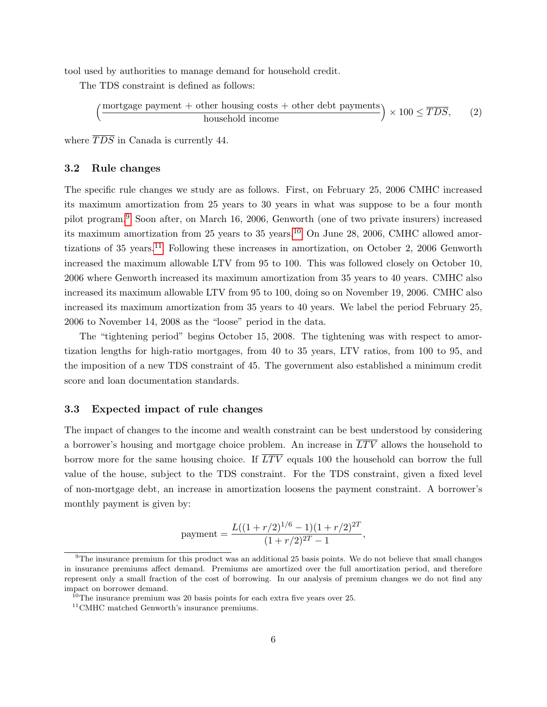tool used by authorities to manage demand for household credit.

The TDS constraint is defined as follows:

$$
\left(\frac{\text{mortgage payment} + \text{other housing costs} + \text{other debt payments}}{\text{household income}}\right) \times 100 \leq \overline{TDS},\qquad(2)
$$

where  $\overline{TDS}$  in Canada is currently 44.

### 3.2 Rule changes

The specific rule changes we study are as follows. First, on February 25, 2006 CMHC increased its maximum amortization from 25 years to 30 years in what was suppose to be a four month pilot program.[9](#page-6-0) Soon after, on March 16, 2006, Genworth (one of two private insurers) increased its maximum amortization from 25 years to 35 years.<sup>[10](#page-6-1)</sup> On June 28, 2006, CMHC allowed amor-tizations of 35 years.<sup>[11](#page-6-2)</sup> Following these increases in amortization, on October 2, 2006 Genworth increased the maximum allowable LTV from 95 to 100. This was followed closely on October 10, 2006 where Genworth increased its maximum amortization from 35 years to 40 years. CMHC also increased its maximum allowable LTV from 95 to 100, doing so on November 19, 2006. CMHC also increased its maximum amortization from 35 years to 40 years. We label the period February 25, 2006 to November 14, 2008 as the "loose" period in the data.

The "tightening period" begins October 15, 2008. The tightening was with respect to amortization lengths for high-ratio mortgages, from 40 to 35 years, LTV ratios, from 100 to 95, and the imposition of a new TDS constraint of 45. The government also established a minimum credit score and loan documentation standards.

### 3.3 Expected impact of rule changes

The impact of changes to the income and wealth constraint can be best understood by considering a borrower's housing and mortgage choice problem. An increase in  $\overline{LTV}$  allows the household to borrow more for the same housing choice. If  $\overline{LTV}$  equals 100 the household can borrow the full value of the house, subject to the TDS constraint. For the TDS constraint, given a fixed level of non-mortgage debt, an increase in amortization loosens the payment constraint. A borrower's monthly payment is given by:

$$
payment = \frac{L((1+r/2)^{1/6} - 1)(1+r/2)^{2T}}{(1+r/2)^{2T} - 1},
$$

<span id="page-6-0"></span><sup>9</sup>The insurance premium for this product was an additional 25 basis points. We do not believe that small changes in insurance premiums affect demand. Premiums are amortized over the full amortization period, and therefore represent only a small fraction of the cost of borrowing. In our analysis of premium changes we do not find any impact on borrower demand.

<span id="page-6-1"></span> $10$ <sup>10</sup>The insurance premium was 20 basis points for each extra five years over 25.

<span id="page-6-2"></span><sup>&</sup>lt;sup>11</sup>CMHC matched Genworth's insurance premiums.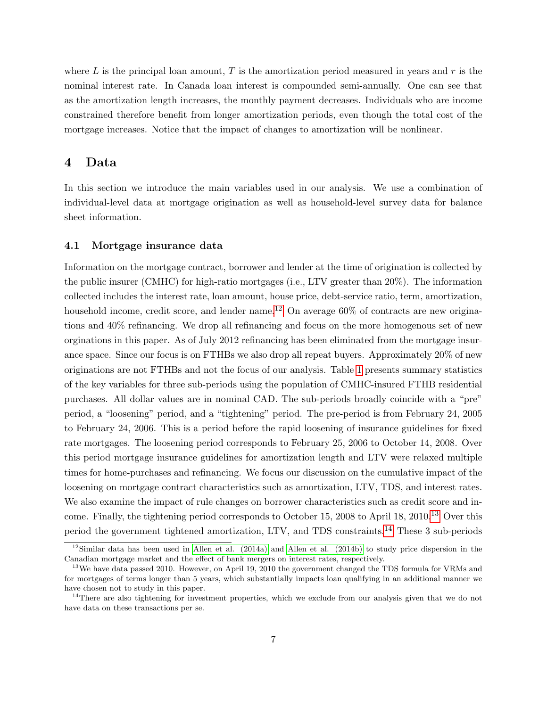where L is the principal loan amount, T is the amortization period measured in years and  $r$  is the nominal interest rate. In Canada loan interest is compounded semi-annually. One can see that as the amortization length increases, the monthly payment decreases. Individuals who are income constrained therefore benefit from longer amortization periods, even though the total cost of the mortgage increases. Notice that the impact of changes to amortization will be nonlinear.

### <span id="page-7-0"></span>4 Data

In this section we introduce the main variables used in our analysis. We use a combination of individual-level data at mortgage origination as well as household-level survey data for balance sheet information.

### 4.1 Mortgage insurance data

Information on the mortgage contract, borrower and lender at the time of origination is collected by the public insurer (CMHC) for high-ratio mortgages (i.e., LTV greater than 20%). The information collected includes the interest rate, loan amount, house price, debt-service ratio, term, amortization, household income, credit score, and lender name.<sup>[12](#page-7-1)</sup> On average  $60\%$  of contracts are new originations and 40% refinancing. We drop all refinancing and focus on the more homogenous set of new orginations in this paper. As of July 2012 refinancing has been eliminated from the mortgage insurance space. Since our focus is on FTHBs we also drop all repeat buyers. Approximately 20% of new originations are not FTHBs and not the focus of our analysis. Table [1](#page-10-0) presents summary statistics of the key variables for three sub-periods using the population of CMHC-insured FTHB residential purchases. All dollar values are in nominal CAD. The sub-periods broadly coincide with a "pre" period, a "loosening" period, and a "tightening" period. The pre-period is from February 24, 2005 to February 24, 2006. This is a period before the rapid loosening of insurance guidelines for fixed rate mortgages. The loosening period corresponds to February 25, 2006 to October 14, 2008. Over this period mortgage insurance guidelines for amortization length and LTV were relaxed multiple times for home-purchases and refinancing. We focus our discussion on the cumulative impact of the loosening on mortgage contract characteristics such as amortization, LTV, TDS, and interest rates. We also examine the impact of rule changes on borrower characteristics such as credit score and income. Finally, the tightening period corresponds to October 15, 2008 to April 18, 2010.[13](#page-7-2) Over this period the government tightened amortization, LTV, and TDS constraints.[14](#page-7-3) These 3 sub-periods

<span id="page-7-1"></span><sup>&</sup>lt;sup>12</sup>Similar data has been used in [Allen et al. \(2014a\)](#page-28-9) and [Allen et al. \(2014b\)](#page-28-10) to study price dispersion in the Canadian mortgage market and the effect of bank mergers on interest rates, respectively.

<span id="page-7-2"></span> $13\text{We have data passed } 2010$ . However, on April 19, 2010 the government changed the TDS formula for VRMs and for mortgages of terms longer than 5 years, which substantially impacts loan qualifying in an additional manner we have chosen not to study in this paper.

<span id="page-7-3"></span><sup>&</sup>lt;sup>14</sup>There are also tightening for investment properties, which we exclude from our analysis given that we do not have data on these transactions per se.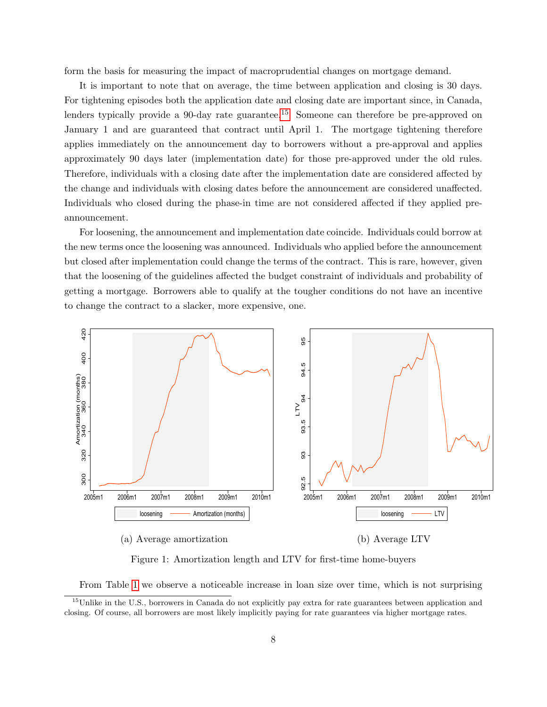form the basis for measuring the impact of macroprudential changes on mortgage demand.

It is important to note that on average, the time between application and closing is 30 days. For tightening episodes both the application date and closing date are important since, in Canada, lenders typically provide a 90-day rate guarantee.<sup>[15](#page-8-0)</sup> Someone can therefore be pre-approved on January 1 and are guaranteed that contract until April 1. The mortgage tightening therefore applies immediately on the announcement day to borrowers without a pre-approval and applies approximately 90 days later (implementation date) for those pre-approved under the old rules. Therefore, individuals with a closing date after the implementation date are considered affected by the change and individuals with closing dates before the announcement are considered unaffected. Individuals who closed during the phase-in time are not considered affected if they applied preannouncement.

For loosening, the announcement and implementation date coincide. Individuals could borrow at the new terms once the loosening was announced. Individuals who applied before the announcement but closed after implementation could change the terms of the contract. This is rare, however, given that the loosening of the guidelines affected the budget constraint of individuals and probability of getting a mortgage. Borrowers able to qualify at the tougher conditions do not have an incentive to change the contract to a slacker, more expensive, one.



(a) Average amortization (b) Average LTV

<span id="page-8-1"></span>Figure 1: Amortization length and LTV for first-time home-buyers

<span id="page-8-0"></span>From Table [1](#page-10-0) we observe a noticeable increase in loan size over time, which is not surprising

<sup>&</sup>lt;sup>15</sup>Unlike in the U.S., borrowers in Canada do not explicitly pay extra for rate guarantees between application and closing. Of course, all borrowers are most likely implicitly paying for rate guarantees via higher mortgage rates.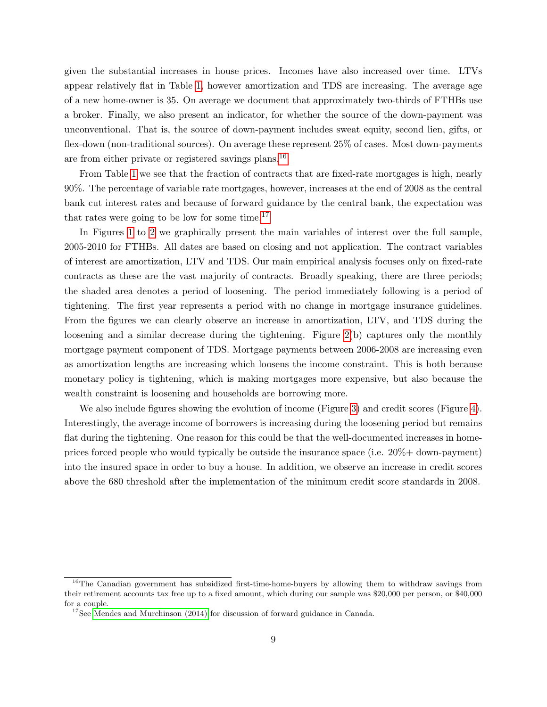given the substantial increases in house prices. Incomes have also increased over time. LTVs appear relatively flat in Table [1,](#page-10-0) however amortization and TDS are increasing. The average age of a new home-owner is 35. On average we document that approximately two-thirds of FTHBs use a broker. Finally, we also present an indicator, for whether the source of the down-payment was unconventional. That is, the source of down-payment includes sweat equity, second lien, gifts, or flex-down (non-traditional sources). On average these represent 25% of cases. Most down-payments are from either private or registered savings plans.[16](#page-9-0)

From Table [1](#page-10-0) we see that the fraction of contracts that are fixed-rate mortgages is high, nearly 90%. The percentage of variable rate mortgages, however, increases at the end of 2008 as the central bank cut interest rates and because of forward guidance by the central bank, the expectation was that rates were going to be low for some time. $17$ 

In Figures [1](#page-8-1) to [2](#page-11-0) we graphically present the main variables of interest over the full sample, 2005-2010 for FTHBs. All dates are based on closing and not application. The contract variables of interest are amortization, LTV and TDS. Our main empirical analysis focuses only on fixed-rate contracts as these are the vast majority of contracts. Broadly speaking, there are three periods; the shaded area denotes a period of loosening. The period immediately following is a period of tightening. The first year represents a period with no change in mortgage insurance guidelines. From the figures we can clearly observe an increase in amortization, LTV, and TDS during the loosening and a similar decrease during the tightening. Figure [2\(](#page-11-0)b) captures only the monthly mortgage payment component of TDS. Mortgage payments between 2006-2008 are increasing even as amortization lengths are increasing which loosens the income constraint. This is both because monetary policy is tightening, which is making mortgages more expensive, but also because the wealth constraint is loosening and households are borrowing more.

We also include figures showing the evolution of income (Figure [3\)](#page-11-1) and credit scores (Figure [4\)](#page-12-1). Interestingly, the average income of borrowers is increasing during the loosening period but remains flat during the tightening. One reason for this could be that the well-documented increases in homeprices forced people who would typically be outside the insurance space (i.e. 20%+ down-payment) into the insured space in order to buy a house. In addition, we observe an increase in credit scores above the 680 threshold after the implementation of the minimum credit score standards in 2008.

<span id="page-9-0"></span><sup>&</sup>lt;sup>16</sup>The Canadian government has subsidized first-time-home-buyers by allowing them to withdraw savings from their retirement accounts tax free up to a fixed amount, which during our sample was \$20,000 per person, or \$40,000 for a couple.

<span id="page-9-1"></span><sup>&</sup>lt;sup>17</sup>See [Mendes and Murchinson \(2014\)](#page-29-9) for discussion of forward guidance in Canada.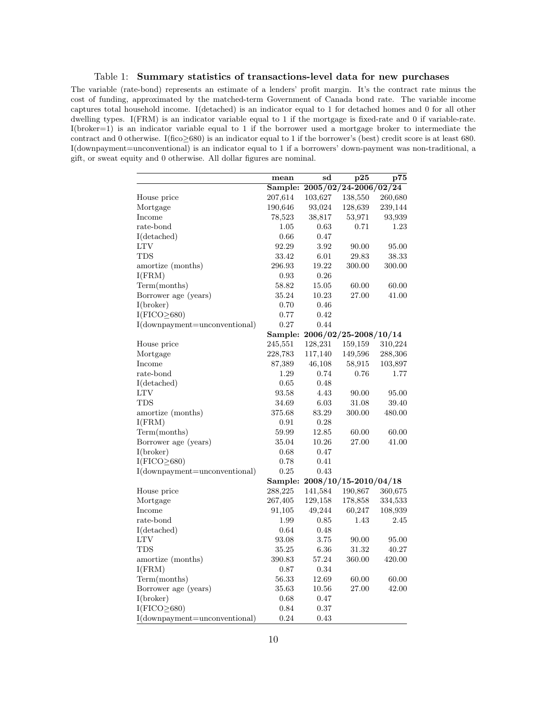<span id="page-10-0"></span>Table 1: Summary statistics of transactions-level data for new purchases

The variable (rate-bond) represents an estimate of a lenders' profit margin. It's the contract rate minus the cost of funding, approximated by the matched-term Government of Canada bond rate. The variable income captures total household income. I(detached) is an indicator equal to 1 for detached homes and 0 for all other dwelling types. I(FRM) is an indicator variable equal to 1 if the mortgage is fixed-rate and 0 if variable-rate. I(broker=1) is an indicator variable equal to 1 if the borrower used a mortgage broker to intermediate the contract and 0 otherwise. I(fico≥680) is an indicator equal to 1 if the borrower's (best) credit score is at least 680. I(downpayment=unconventional) is an indicator equal to 1 if a borrowers' down-payment was non-traditional, a gift, or sweat equity and 0 otherwise. All dollar figures are nominal.

| Sample: 2005/02/24-2006/02/24<br>103,627<br>207,614<br>138,550<br>260,680<br>House price<br>190,646<br>93,024<br>Mortgage<br>128,639<br>239,144<br>Income<br>38,817<br>53,971<br>93,939<br>78,523<br>rate-bond<br>1.05<br>0.71<br>1.23<br>0.63<br>I(detached)<br>0.66<br>0.47<br>LTV<br>92.29<br>3.92<br>90.00<br>95.00<br><b>TDS</b><br>33.42<br>6.01<br>29.83<br>38.33<br>amortize (months)<br>296.93<br>19.22<br>300.00<br>300.00<br>I(FRM)<br>0.93<br>0.26<br>Term(months)<br>60.00<br>58.82<br>15.05<br>60.00<br>Borrower age (years)<br>35.24<br>10.23<br>27.00<br>41.00<br>I(broker)<br>0.70<br>0.46<br>$I(FICO \geq 680)$<br>0.77<br>0.42<br>I(downpayment=unconventional)<br>0.27<br>0.44<br>2006/02/25-2008/10/14<br>Sample:<br>245,551<br>128,231<br>310,224<br>House price<br>159,159<br>Mortgage<br>228,783<br>117,140<br>149,596<br>288,306<br>Income<br>87,389<br>46,108<br>58,915<br>103,897<br>rate-bond<br>1.29<br>0.74<br>0.76<br>1.77<br>I(detached)<br>0.65<br>0.48<br><b>LTV</b><br>93.58<br>4.43<br>90.00<br>95.00<br><b>TDS</b><br>34.69<br>6.03<br>31.08<br>39.40<br>amortize (months)<br>375.68<br>83.29<br>300.00<br>480.00<br>I(FRM)<br>0.91<br>0.28<br>Term(months)<br>59.99<br>12.85<br>60.00<br>60.00<br>Borrower age (years)<br>$35.04\,$<br>10.26<br>27.00<br>41.00<br>I(broker)<br>0.68<br>0.47<br>$I(FICO \geq 680)$<br>0.78<br>0.41<br>I(downpayment=unconventional)<br>0.25<br>0.43<br>2008/10/15-2010/04/18<br>Sample:<br>House price<br>288,225<br>141,584<br>190,867<br>360,675<br>267,405<br>129,158<br>178,858<br>Mortgage<br>334,533<br>Income<br>91,105<br>49,244<br>60,247<br>108,939<br>rate-bond<br>2.45<br>1.99<br>0.85<br>1.43<br>I(detached)<br>0.64<br>0.48<br>LTV<br>93.08<br>3.75<br>90.00<br>95.00<br>TDS<br>35.25<br>6.36<br>31.32<br>40.27<br>57.24<br>amortize (months)<br>390.83<br>360.00<br>420.00<br>I(FRM)<br>0.34<br>0.87<br>Term(months)<br>56.33<br>12.69<br>60.00<br>60.00<br>Borrower age (years)<br>35.63<br>10.56<br>27.00<br>42.00<br>I(broker)<br>0.68<br>0.47<br>$I(FICO \geq 680)$<br>0.84<br>0.37 |                               | mean | sd   | $\bf p25$ | p75 |
|-----------------------------------------------------------------------------------------------------------------------------------------------------------------------------------------------------------------------------------------------------------------------------------------------------------------------------------------------------------------------------------------------------------------------------------------------------------------------------------------------------------------------------------------------------------------------------------------------------------------------------------------------------------------------------------------------------------------------------------------------------------------------------------------------------------------------------------------------------------------------------------------------------------------------------------------------------------------------------------------------------------------------------------------------------------------------------------------------------------------------------------------------------------------------------------------------------------------------------------------------------------------------------------------------------------------------------------------------------------------------------------------------------------------------------------------------------------------------------------------------------------------------------------------------------------------------------------------------------------------------------------------------------------------------------------------------------------------------------------------------------------------------------------------------------------------------------------------------------------------------------------------------------------------------------------------------------------------------------------------------------------------------------------------------------------------------------|-------------------------------|------|------|-----------|-----|
|                                                                                                                                                                                                                                                                                                                                                                                                                                                                                                                                                                                                                                                                                                                                                                                                                                                                                                                                                                                                                                                                                                                                                                                                                                                                                                                                                                                                                                                                                                                                                                                                                                                                                                                                                                                                                                                                                                                                                                                                                                                                             |                               |      |      |           |     |
|                                                                                                                                                                                                                                                                                                                                                                                                                                                                                                                                                                                                                                                                                                                                                                                                                                                                                                                                                                                                                                                                                                                                                                                                                                                                                                                                                                                                                                                                                                                                                                                                                                                                                                                                                                                                                                                                                                                                                                                                                                                                             |                               |      |      |           |     |
|                                                                                                                                                                                                                                                                                                                                                                                                                                                                                                                                                                                                                                                                                                                                                                                                                                                                                                                                                                                                                                                                                                                                                                                                                                                                                                                                                                                                                                                                                                                                                                                                                                                                                                                                                                                                                                                                                                                                                                                                                                                                             |                               |      |      |           |     |
|                                                                                                                                                                                                                                                                                                                                                                                                                                                                                                                                                                                                                                                                                                                                                                                                                                                                                                                                                                                                                                                                                                                                                                                                                                                                                                                                                                                                                                                                                                                                                                                                                                                                                                                                                                                                                                                                                                                                                                                                                                                                             |                               |      |      |           |     |
|                                                                                                                                                                                                                                                                                                                                                                                                                                                                                                                                                                                                                                                                                                                                                                                                                                                                                                                                                                                                                                                                                                                                                                                                                                                                                                                                                                                                                                                                                                                                                                                                                                                                                                                                                                                                                                                                                                                                                                                                                                                                             |                               |      |      |           |     |
|                                                                                                                                                                                                                                                                                                                                                                                                                                                                                                                                                                                                                                                                                                                                                                                                                                                                                                                                                                                                                                                                                                                                                                                                                                                                                                                                                                                                                                                                                                                                                                                                                                                                                                                                                                                                                                                                                                                                                                                                                                                                             |                               |      |      |           |     |
|                                                                                                                                                                                                                                                                                                                                                                                                                                                                                                                                                                                                                                                                                                                                                                                                                                                                                                                                                                                                                                                                                                                                                                                                                                                                                                                                                                                                                                                                                                                                                                                                                                                                                                                                                                                                                                                                                                                                                                                                                                                                             |                               |      |      |           |     |
|                                                                                                                                                                                                                                                                                                                                                                                                                                                                                                                                                                                                                                                                                                                                                                                                                                                                                                                                                                                                                                                                                                                                                                                                                                                                                                                                                                                                                                                                                                                                                                                                                                                                                                                                                                                                                                                                                                                                                                                                                                                                             |                               |      |      |           |     |
|                                                                                                                                                                                                                                                                                                                                                                                                                                                                                                                                                                                                                                                                                                                                                                                                                                                                                                                                                                                                                                                                                                                                                                                                                                                                                                                                                                                                                                                                                                                                                                                                                                                                                                                                                                                                                                                                                                                                                                                                                                                                             |                               |      |      |           |     |
|                                                                                                                                                                                                                                                                                                                                                                                                                                                                                                                                                                                                                                                                                                                                                                                                                                                                                                                                                                                                                                                                                                                                                                                                                                                                                                                                                                                                                                                                                                                                                                                                                                                                                                                                                                                                                                                                                                                                                                                                                                                                             |                               |      |      |           |     |
|                                                                                                                                                                                                                                                                                                                                                                                                                                                                                                                                                                                                                                                                                                                                                                                                                                                                                                                                                                                                                                                                                                                                                                                                                                                                                                                                                                                                                                                                                                                                                                                                                                                                                                                                                                                                                                                                                                                                                                                                                                                                             |                               |      |      |           |     |
|                                                                                                                                                                                                                                                                                                                                                                                                                                                                                                                                                                                                                                                                                                                                                                                                                                                                                                                                                                                                                                                                                                                                                                                                                                                                                                                                                                                                                                                                                                                                                                                                                                                                                                                                                                                                                                                                                                                                                                                                                                                                             |                               |      |      |           |     |
|                                                                                                                                                                                                                                                                                                                                                                                                                                                                                                                                                                                                                                                                                                                                                                                                                                                                                                                                                                                                                                                                                                                                                                                                                                                                                                                                                                                                                                                                                                                                                                                                                                                                                                                                                                                                                                                                                                                                                                                                                                                                             |                               |      |      |           |     |
|                                                                                                                                                                                                                                                                                                                                                                                                                                                                                                                                                                                                                                                                                                                                                                                                                                                                                                                                                                                                                                                                                                                                                                                                                                                                                                                                                                                                                                                                                                                                                                                                                                                                                                                                                                                                                                                                                                                                                                                                                                                                             |                               |      |      |           |     |
|                                                                                                                                                                                                                                                                                                                                                                                                                                                                                                                                                                                                                                                                                                                                                                                                                                                                                                                                                                                                                                                                                                                                                                                                                                                                                                                                                                                                                                                                                                                                                                                                                                                                                                                                                                                                                                                                                                                                                                                                                                                                             |                               |      |      |           |     |
|                                                                                                                                                                                                                                                                                                                                                                                                                                                                                                                                                                                                                                                                                                                                                                                                                                                                                                                                                                                                                                                                                                                                                                                                                                                                                                                                                                                                                                                                                                                                                                                                                                                                                                                                                                                                                                                                                                                                                                                                                                                                             |                               |      |      |           |     |
|                                                                                                                                                                                                                                                                                                                                                                                                                                                                                                                                                                                                                                                                                                                                                                                                                                                                                                                                                                                                                                                                                                                                                                                                                                                                                                                                                                                                                                                                                                                                                                                                                                                                                                                                                                                                                                                                                                                                                                                                                                                                             |                               |      |      |           |     |
|                                                                                                                                                                                                                                                                                                                                                                                                                                                                                                                                                                                                                                                                                                                                                                                                                                                                                                                                                                                                                                                                                                                                                                                                                                                                                                                                                                                                                                                                                                                                                                                                                                                                                                                                                                                                                                                                                                                                                                                                                                                                             |                               |      |      |           |     |
|                                                                                                                                                                                                                                                                                                                                                                                                                                                                                                                                                                                                                                                                                                                                                                                                                                                                                                                                                                                                                                                                                                                                                                                                                                                                                                                                                                                                                                                                                                                                                                                                                                                                                                                                                                                                                                                                                                                                                                                                                                                                             |                               |      |      |           |     |
|                                                                                                                                                                                                                                                                                                                                                                                                                                                                                                                                                                                                                                                                                                                                                                                                                                                                                                                                                                                                                                                                                                                                                                                                                                                                                                                                                                                                                                                                                                                                                                                                                                                                                                                                                                                                                                                                                                                                                                                                                                                                             |                               |      |      |           |     |
|                                                                                                                                                                                                                                                                                                                                                                                                                                                                                                                                                                                                                                                                                                                                                                                                                                                                                                                                                                                                                                                                                                                                                                                                                                                                                                                                                                                                                                                                                                                                                                                                                                                                                                                                                                                                                                                                                                                                                                                                                                                                             |                               |      |      |           |     |
|                                                                                                                                                                                                                                                                                                                                                                                                                                                                                                                                                                                                                                                                                                                                                                                                                                                                                                                                                                                                                                                                                                                                                                                                                                                                                                                                                                                                                                                                                                                                                                                                                                                                                                                                                                                                                                                                                                                                                                                                                                                                             |                               |      |      |           |     |
|                                                                                                                                                                                                                                                                                                                                                                                                                                                                                                                                                                                                                                                                                                                                                                                                                                                                                                                                                                                                                                                                                                                                                                                                                                                                                                                                                                                                                                                                                                                                                                                                                                                                                                                                                                                                                                                                                                                                                                                                                                                                             |                               |      |      |           |     |
|                                                                                                                                                                                                                                                                                                                                                                                                                                                                                                                                                                                                                                                                                                                                                                                                                                                                                                                                                                                                                                                                                                                                                                                                                                                                                                                                                                                                                                                                                                                                                                                                                                                                                                                                                                                                                                                                                                                                                                                                                                                                             |                               |      |      |           |     |
|                                                                                                                                                                                                                                                                                                                                                                                                                                                                                                                                                                                                                                                                                                                                                                                                                                                                                                                                                                                                                                                                                                                                                                                                                                                                                                                                                                                                                                                                                                                                                                                                                                                                                                                                                                                                                                                                                                                                                                                                                                                                             |                               |      |      |           |     |
|                                                                                                                                                                                                                                                                                                                                                                                                                                                                                                                                                                                                                                                                                                                                                                                                                                                                                                                                                                                                                                                                                                                                                                                                                                                                                                                                                                                                                                                                                                                                                                                                                                                                                                                                                                                                                                                                                                                                                                                                                                                                             |                               |      |      |           |     |
|                                                                                                                                                                                                                                                                                                                                                                                                                                                                                                                                                                                                                                                                                                                                                                                                                                                                                                                                                                                                                                                                                                                                                                                                                                                                                                                                                                                                                                                                                                                                                                                                                                                                                                                                                                                                                                                                                                                                                                                                                                                                             |                               |      |      |           |     |
|                                                                                                                                                                                                                                                                                                                                                                                                                                                                                                                                                                                                                                                                                                                                                                                                                                                                                                                                                                                                                                                                                                                                                                                                                                                                                                                                                                                                                                                                                                                                                                                                                                                                                                                                                                                                                                                                                                                                                                                                                                                                             |                               |      |      |           |     |
|                                                                                                                                                                                                                                                                                                                                                                                                                                                                                                                                                                                                                                                                                                                                                                                                                                                                                                                                                                                                                                                                                                                                                                                                                                                                                                                                                                                                                                                                                                                                                                                                                                                                                                                                                                                                                                                                                                                                                                                                                                                                             |                               |      |      |           |     |
|                                                                                                                                                                                                                                                                                                                                                                                                                                                                                                                                                                                                                                                                                                                                                                                                                                                                                                                                                                                                                                                                                                                                                                                                                                                                                                                                                                                                                                                                                                                                                                                                                                                                                                                                                                                                                                                                                                                                                                                                                                                                             |                               |      |      |           |     |
|                                                                                                                                                                                                                                                                                                                                                                                                                                                                                                                                                                                                                                                                                                                                                                                                                                                                                                                                                                                                                                                                                                                                                                                                                                                                                                                                                                                                                                                                                                                                                                                                                                                                                                                                                                                                                                                                                                                                                                                                                                                                             |                               |      |      |           |     |
|                                                                                                                                                                                                                                                                                                                                                                                                                                                                                                                                                                                                                                                                                                                                                                                                                                                                                                                                                                                                                                                                                                                                                                                                                                                                                                                                                                                                                                                                                                                                                                                                                                                                                                                                                                                                                                                                                                                                                                                                                                                                             |                               |      |      |           |     |
|                                                                                                                                                                                                                                                                                                                                                                                                                                                                                                                                                                                                                                                                                                                                                                                                                                                                                                                                                                                                                                                                                                                                                                                                                                                                                                                                                                                                                                                                                                                                                                                                                                                                                                                                                                                                                                                                                                                                                                                                                                                                             |                               |      |      |           |     |
|                                                                                                                                                                                                                                                                                                                                                                                                                                                                                                                                                                                                                                                                                                                                                                                                                                                                                                                                                                                                                                                                                                                                                                                                                                                                                                                                                                                                                                                                                                                                                                                                                                                                                                                                                                                                                                                                                                                                                                                                                                                                             |                               |      |      |           |     |
|                                                                                                                                                                                                                                                                                                                                                                                                                                                                                                                                                                                                                                                                                                                                                                                                                                                                                                                                                                                                                                                                                                                                                                                                                                                                                                                                                                                                                                                                                                                                                                                                                                                                                                                                                                                                                                                                                                                                                                                                                                                                             |                               |      |      |           |     |
|                                                                                                                                                                                                                                                                                                                                                                                                                                                                                                                                                                                                                                                                                                                                                                                                                                                                                                                                                                                                                                                                                                                                                                                                                                                                                                                                                                                                                                                                                                                                                                                                                                                                                                                                                                                                                                                                                                                                                                                                                                                                             |                               |      |      |           |     |
|                                                                                                                                                                                                                                                                                                                                                                                                                                                                                                                                                                                                                                                                                                                                                                                                                                                                                                                                                                                                                                                                                                                                                                                                                                                                                                                                                                                                                                                                                                                                                                                                                                                                                                                                                                                                                                                                                                                                                                                                                                                                             |                               |      |      |           |     |
|                                                                                                                                                                                                                                                                                                                                                                                                                                                                                                                                                                                                                                                                                                                                                                                                                                                                                                                                                                                                                                                                                                                                                                                                                                                                                                                                                                                                                                                                                                                                                                                                                                                                                                                                                                                                                                                                                                                                                                                                                                                                             |                               |      |      |           |     |
|                                                                                                                                                                                                                                                                                                                                                                                                                                                                                                                                                                                                                                                                                                                                                                                                                                                                                                                                                                                                                                                                                                                                                                                                                                                                                                                                                                                                                                                                                                                                                                                                                                                                                                                                                                                                                                                                                                                                                                                                                                                                             |                               |      |      |           |     |
|                                                                                                                                                                                                                                                                                                                                                                                                                                                                                                                                                                                                                                                                                                                                                                                                                                                                                                                                                                                                                                                                                                                                                                                                                                                                                                                                                                                                                                                                                                                                                                                                                                                                                                                                                                                                                                                                                                                                                                                                                                                                             |                               |      |      |           |     |
|                                                                                                                                                                                                                                                                                                                                                                                                                                                                                                                                                                                                                                                                                                                                                                                                                                                                                                                                                                                                                                                                                                                                                                                                                                                                                                                                                                                                                                                                                                                                                                                                                                                                                                                                                                                                                                                                                                                                                                                                                                                                             |                               |      |      |           |     |
|                                                                                                                                                                                                                                                                                                                                                                                                                                                                                                                                                                                                                                                                                                                                                                                                                                                                                                                                                                                                                                                                                                                                                                                                                                                                                                                                                                                                                                                                                                                                                                                                                                                                                                                                                                                                                                                                                                                                                                                                                                                                             |                               |      |      |           |     |
|                                                                                                                                                                                                                                                                                                                                                                                                                                                                                                                                                                                                                                                                                                                                                                                                                                                                                                                                                                                                                                                                                                                                                                                                                                                                                                                                                                                                                                                                                                                                                                                                                                                                                                                                                                                                                                                                                                                                                                                                                                                                             |                               |      |      |           |     |
|                                                                                                                                                                                                                                                                                                                                                                                                                                                                                                                                                                                                                                                                                                                                                                                                                                                                                                                                                                                                                                                                                                                                                                                                                                                                                                                                                                                                                                                                                                                                                                                                                                                                                                                                                                                                                                                                                                                                                                                                                                                                             |                               |      |      |           |     |
|                                                                                                                                                                                                                                                                                                                                                                                                                                                                                                                                                                                                                                                                                                                                                                                                                                                                                                                                                                                                                                                                                                                                                                                                                                                                                                                                                                                                                                                                                                                                                                                                                                                                                                                                                                                                                                                                                                                                                                                                                                                                             | I(downpayment=unconventional) | 0.24 | 0.43 |           |     |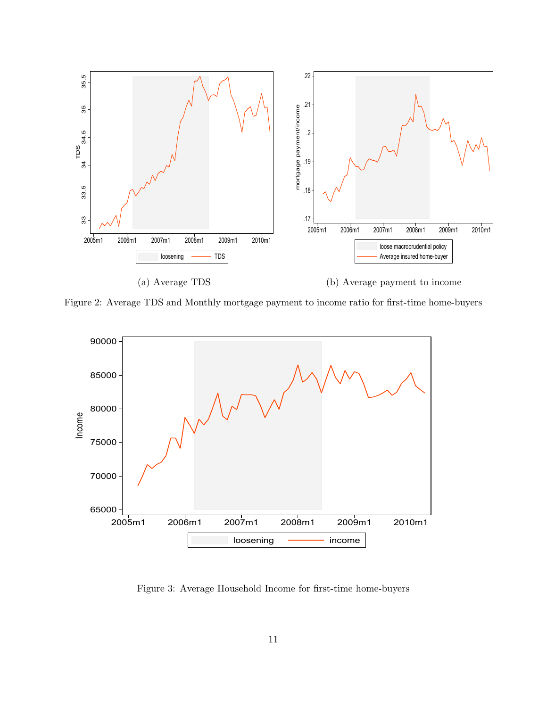

<span id="page-11-0"></span>Figure 2: Average TDS and Monthly mortgage payment to income ratio for first-time home-buyers



<span id="page-11-1"></span>Figure 3: Average Household Income for first-time home-buyers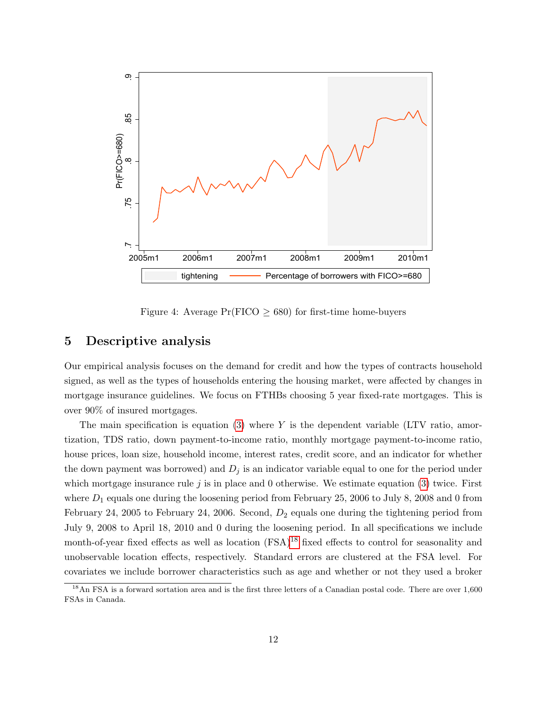

<span id="page-12-1"></span>Figure 4: Average  $Pr(FICO \geq 680)$  for first-time home-buyers

### <span id="page-12-0"></span>5 Descriptive analysis

Our empirical analysis focuses on the demand for credit and how the types of contracts household signed, as well as the types of households entering the housing market, were affected by changes in mortgage insurance guidelines. We focus on FTHBs choosing 5 year fixed-rate mortgages. This is over 90% of insured mortgages.

The main specification is equation  $(3)$  where Y is the dependent variable (LTV ratio, amortization, TDS ratio, down payment-to-income ratio, monthly mortgage payment-to-income ratio, house prices, loan size, household income, interest rates, credit score, and an indicator for whether the down payment was borrowed) and  $D_j$  is an indicator variable equal to one for the period under which mortgage insurance rule  $j$  is in place and 0 otherwise. We estimate equation [\(3\)](#page-13-0) twice. First where  $D_1$  equals one during the loosening period from February 25, 2006 to July 8, 2008 and 0 from February 24, 2005 to February 24, 2006. Second,  $D_2$  equals one during the tightening period from July 9, 2008 to April 18, 2010 and 0 during the loosening period. In all specifications we include month-of-year fixed effects as well as location  $(FSA)^{18}$  $(FSA)^{18}$  $(FSA)^{18}$  fixed effects to control for seasonality and unobservable location effects, respectively. Standard errors are clustered at the FSA level. For covariates we include borrower characteristics such as age and whether or not they used a broker

<span id="page-12-2"></span><sup>&</sup>lt;sup>18</sup>An FSA is a forward sortation area and is the first three letters of a Canadian postal code. There are over 1,600 FSAs in Canada.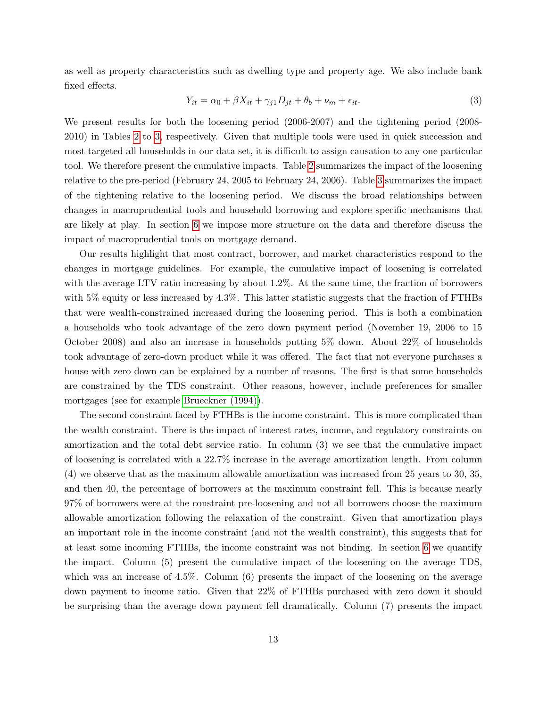as well as property characteristics such as dwelling type and property age. We also include bank fixed effects.

<span id="page-13-0"></span>
$$
Y_{it} = \alpha_0 + \beta X_{it} + \gamma_{j1} D_{jt} + \theta_b + \nu_m + \epsilon_{it}.
$$
\n(3)

We present results for both the loosening period (2006-2007) and the tightening period (2008- 2010) in Tables [2](#page-15-0) to [3,](#page-16-0) respectively. Given that multiple tools were used in quick succession and most targeted all households in our data set, it is difficult to assign causation to any one particular tool. We therefore present the cumulative impacts. Table [2](#page-15-0) summarizes the impact of the loosening relative to the pre-period (February 24, 2005 to February 24, 2006). Table [3](#page-16-0) summarizes the impact of the tightening relative to the loosening period. We discuss the broad relationships between changes in macroprudential tools and household borrowing and explore specific mechanisms that are likely at play. In section [6](#page-17-0) we impose more structure on the data and therefore discuss the impact of macroprudential tools on mortgage demand.

Our results highlight that most contract, borrower, and market characteristics respond to the changes in mortgage guidelines. For example, the cumulative impact of loosening is correlated with the average LTV ratio increasing by about 1.2%. At the same time, the fraction of borrowers with 5% equity or less increased by 4.3%. This latter statistic suggests that the fraction of FTHBs that were wealth-constrained increased during the loosening period. This is both a combination a households who took advantage of the zero down payment period (November 19, 2006 to 15 October 2008) and also an increase in households putting 5% down. About 22% of households took advantage of zero-down product while it was offered. The fact that not everyone purchases a house with zero down can be explained by a number of reasons. The first is that some households are constrained by the TDS constraint. Other reasons, however, include preferences for smaller mortgages (see for example [Brueckner \(1994\)\)](#page-28-11).

The second constraint faced by FTHBs is the income constraint. This is more complicated than the wealth constraint. There is the impact of interest rates, income, and regulatory constraints on amortization and the total debt service ratio. In column (3) we see that the cumulative impact of loosening is correlated with a 22.7% increase in the average amortization length. From column (4) we observe that as the maximum allowable amortization was increased from 25 years to 30, 35, and then 40, the percentage of borrowers at the maximum constraint fell. This is because nearly 97% of borrowers were at the constraint pre-loosening and not all borrowers choose the maximum allowable amortization following the relaxation of the constraint. Given that amortization plays an important role in the income constraint (and not the wealth constraint), this suggests that for at least some incoming FTHBs, the income constraint was not binding. In section [6](#page-17-0) we quantify the impact. Column (5) present the cumulative impact of the loosening on the average TDS, which was an increase of 4.5%. Column (6) presents the impact of the loosening on the average down payment to income ratio. Given that 22% of FTHBs purchased with zero down it should be surprising than the average down payment fell dramatically. Column (7) presents the impact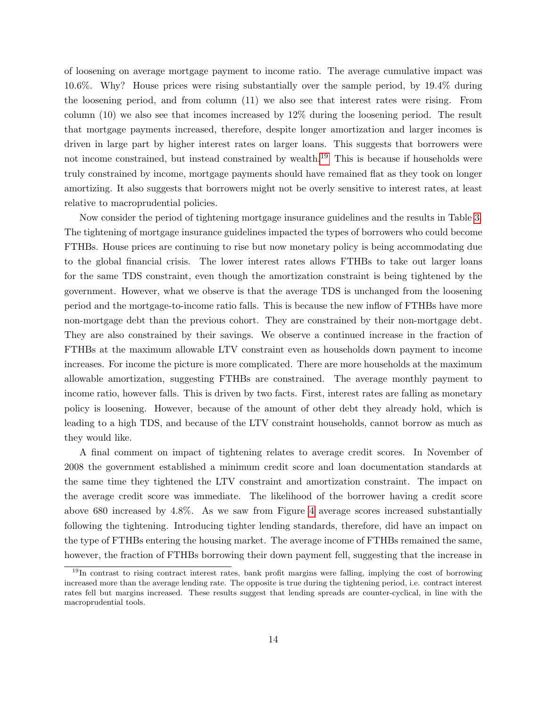of loosening on average mortgage payment to income ratio. The average cumulative impact was 10.6%. Why? House prices were rising substantially over the sample period, by 19.4% during the loosening period, and from column (11) we also see that interest rates were rising. From column (10) we also see that incomes increased by 12% during the loosening period. The result that mortgage payments increased, therefore, despite longer amortization and larger incomes is driven in large part by higher interest rates on larger loans. This suggests that borrowers were not income constrained, but instead constrained by wealth.<sup>[19](#page-14-0)</sup> This is because if households were truly constrained by income, mortgage payments should have remained flat as they took on longer amortizing. It also suggests that borrowers might not be overly sensitive to interest rates, at least relative to macroprudential policies.

Now consider the period of tightening mortgage insurance guidelines and the results in Table [3.](#page-16-0) The tightening of mortgage insurance guidelines impacted the types of borrowers who could become FTHBs. House prices are continuing to rise but now monetary policy is being accommodating due to the global financial crisis. The lower interest rates allows FTHBs to take out larger loans for the same TDS constraint, even though the amortization constraint is being tightened by the government. However, what we observe is that the average TDS is unchanged from the loosening period and the mortgage-to-income ratio falls. This is because the new inflow of FTHBs have more non-mortgage debt than the previous cohort. They are constrained by their non-mortgage debt. They are also constrained by their savings. We observe a continued increase in the fraction of FTHBs at the maximum allowable LTV constraint even as households down payment to income increases. For income the picture is more complicated. There are more households at the maximum allowable amortization, suggesting FTHBs are constrained. The average monthly payment to income ratio, however falls. This is driven by two facts. First, interest rates are falling as monetary policy is loosening. However, because of the amount of other debt they already hold, which is leading to a high TDS, and because of the LTV constraint households, cannot borrow as much as they would like.

A final comment on impact of tightening relates to average credit scores. In November of 2008 the government established a minimum credit score and loan documentation standards at the same time they tightened the LTV constraint and amortization constraint. The impact on the average credit score was immediate. The likelihood of the borrower having a credit score above 680 increased by 4.8%. As we saw from Figure [4](#page-12-1) average scores increased substantially following the tightening. Introducing tighter lending standards, therefore, did have an impact on the type of FTHBs entering the housing market. The average income of FTHBs remained the same, however, the fraction of FTHBs borrowing their down payment fell, suggesting that the increase in

<span id="page-14-0"></span><sup>&</sup>lt;sup>19</sup>In contrast to rising contract interest rates, bank profit margins were falling, implying the cost of borrowing increased more than the average lending rate. The opposite is true during the tightening period, i.e. contract interest rates fell but margins increased. These results suggest that lending spreads are counter-cyclical, in line with the macroprudential tools.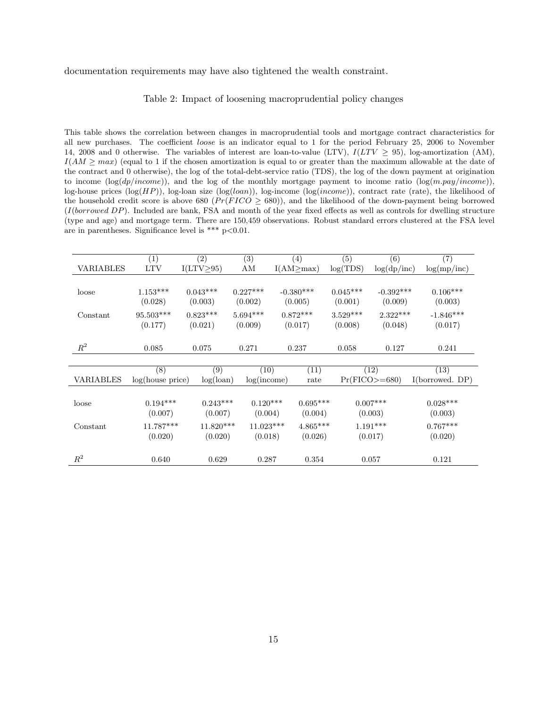#### documentation requirements may have also tightened the wealth constraint.

#### <span id="page-15-0"></span>Table 2: Impact of loosening macroprudential policy changes

This table shows the correlation between changes in macroprudential tools and mortgage contract characteristics for all new purchases. The coefficient loose is an indicator equal to 1 for the period February 25, 2006 to November 14, 2008 and 0 otherwise. The variables of interest are loan-to-value (LTV),  $I(LTV \ge 95)$ , log-amortization (AM),  $I(AM \geq max)$  (equal to 1 if the chosen amortization is equal to or greater than the maximum allowable at the date of the contract and 0 otherwise), the log of the total-debt-service ratio (TDS), the log of the down payment at origination to income  $(\log(dp/income))$ , and the log of the monthly mortgage payment to income ratio  $(\log(m.pay/income))$ , log-house prices (log( $HP$ )), log-loan size (log( $loan$ )), log-income (log( $income$ )), contract rate (rate), the likelihood of the household credit score is above 680 ( $Pr(FICO \ge 680)$ ), and the likelihood of the down-payment being borrowed  $(I(borrowed DP)$ . Included are bank, FSA and month of the year fixed effects as well as controls for dwelling structure (type and age) and mortgage term. There are 150,459 observations. Robust standard errors clustered at the FSA level are in parentheses. Significance level is \*\*\*  $p<0.01$ .

|                  | (1)              | (2)              | (3)         | (4)              | (5)        | (6)             | $\overline{(7)}$ |
|------------------|------------------|------------------|-------------|------------------|------------|-----------------|------------------|
| <b>VARIABLES</b> | <b>LTV</b>       | $I(LTV \geq 95)$ | ΑM          | $I(AM \geq max)$ | log(TDS)   | log(dp/inc)     | log(mp/inc)      |
|                  |                  |                  |             |                  |            |                 |                  |
| loose            | $1.153***$       | $0.043***$       | $0.227***$  | $-0.380***$      | $0.045***$ | $-0.392***$     | $0.106***$       |
|                  | (0.028)          | (0.003)          | (0.002)     | (0.005)          | (0.001)    | (0.009)         | (0.003)          |
| Constant         | $95.503***$      | $0.823***$       | $5.694***$  | $0.872***$       | $3.529***$ | $2.322***$      | $-1.846***$      |
|                  | (0.177)          | (0.021)          | (0.009)     | (0.017)          | (0.008)    | (0.048)         | (0.017)          |
|                  |                  |                  |             |                  |            |                 |                  |
| $R^2$            | 0.085            | 0.075            | 0.271       | 0.237            | 0.058      | 0.127           | 0.241            |
|                  |                  |                  |             |                  |            |                 |                  |
|                  | (8)              | (9)              | (10)        | (11)             |            | (12)            | (13)             |
| <b>VARIABLES</b> | log(house price) | $log($ loan $)$  | log(income) | rate             |            | $Pr(FICO>=680)$ | I(borrowed. DP)  |
|                  |                  |                  |             |                  |            |                 |                  |
| loose            | $0.194***$       | $0.243***$       | $0.120***$  | $0.695***$       |            | $0.007***$      | $0.028***$       |
|                  | (0.007)          | (0.007)          | (0.004)     | (0.004)          |            | (0.003)         | (0.003)          |
| Constant         | 11.787***        | $11.820***$      | $11.023***$ | $4.865***$       |            | $1.191***$      | $0.767***$       |
|                  | (0.020)          | (0.020)          | (0.018)     | (0.026)          |            | (0.017)         | (0.020)          |
|                  |                  |                  |             |                  |            |                 |                  |
| $R^2$            | 0.640            | 0.629            | 0.287       | 0.354            |            | 0.057           | 0.121            |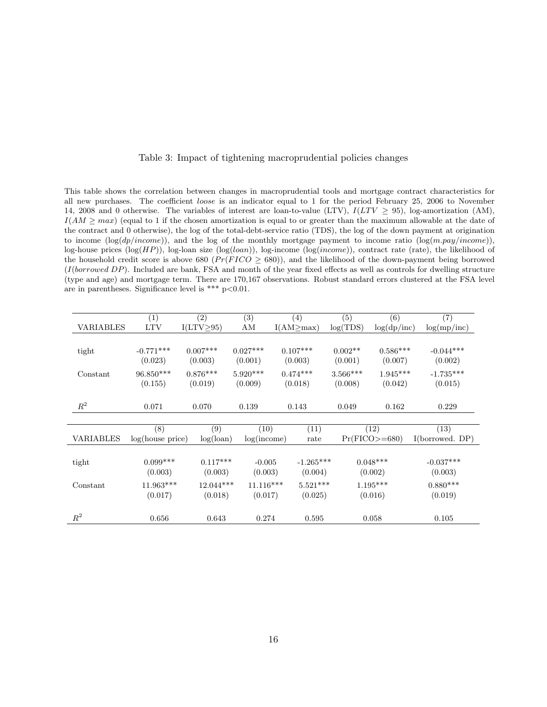<span id="page-16-0"></span>

| Table 3: Impact of tightening macroprudential policies changes |  |  |  |  |  |
|----------------------------------------------------------------|--|--|--|--|--|
|----------------------------------------------------------------|--|--|--|--|--|

This table shows the correlation between changes in macroprudential tools and mortgage contract characteristics for all new purchases. The coefficient loose is an indicator equal to 1 for the period February 25, 2006 to November 14, 2008 and 0 otherwise. The variables of interest are loan-to-value (LTV),  $I(LTV \ge 95)$ , log-amortization (AM),  $I(AM \geq max)$  (equal to 1 if the chosen amortization is equal to or greater than the maximum allowable at the date of the contract and 0 otherwise), the log of the total-debt-service ratio (TDS), the log of the down payment at origination to income  $(\log(dp/income))$ , and the log of the monthly mortgage payment to income ratio  $(\log(m.pay/income))$ , log-house prices (log(HP)), log-loan size (log(loan)), log-income (log(income)), contract rate (rate), the likelihood of the household credit score is above 680 ( $Pr(FICO \ge 680)$ ), and the likelihood of the down-payment being borrowed  $(I(borrowed DP)$ . Included are bank, FSA and month of the year fixed effects as well as controls for dwelling structure (type and age) and mortgage term. There are 170,167 observations. Robust standard errors clustered at the FSA level are in parentheses. Significance level is \*\*\*  $p<0.01$ .

|                  | (1)              | (2)              | (3)         | (4)              | (5)        | (6)             | (7)             |
|------------------|------------------|------------------|-------------|------------------|------------|-----------------|-----------------|
| <b>VARIABLES</b> | <b>LTV</b>       | $I(LTV \geq 95)$ | ΑM          | $I(AM \geq max)$ | log(TDS)   | log(dp/inc)     | log(mp/inc)     |
|                  |                  |                  |             |                  |            |                 |                 |
| tight            | $-0.771***$      | $0.007***$       | $0.027***$  | $0.107***$       | $0.002**$  | $0.586***$      | $-0.044***$     |
|                  | (0.023)          | (0.003)          | (0.001)     | (0.003)          | (0.001)    | (0.007)         | (0.002)         |
| Constant         | 96.850***        | $0.876***$       | $5.920***$  | $0.474***$       | $3.566***$ | $1.945***$      | $-1.735***$     |
|                  | (0.155)          | (0.019)          | (0.009)     | (0.018)          | (0.008)    | (0.042)         | (0.015)         |
|                  |                  |                  |             |                  |            |                 |                 |
| $R^2$            | 0.071            | 0.070            | 0.139       | 0.143            | 0.049      | 0.162           | 0.229           |
|                  |                  |                  |             |                  |            |                 |                 |
|                  | $\overline{(8)}$ | (9)              | (10)        | (11)             |            | (12)            | (13)            |
| <b>VARIABLES</b> | log(house price) | $log($ loan $)$  | log(income) | rate             |            | $Pr(FICO>=680)$ | I(borrowed. DP) |
|                  |                  |                  |             |                  |            |                 |                 |
| tight            | $0.099***$       | $0.117***$       | $-0.005$    | $-1.265***$      |            | $0.048***$      | $-0.037***$     |
|                  | (0.003)          | (0.003)          | (0.003)     | (0.004)          |            | (0.002)         | (0.003)         |
| Constant         | 11.963***        | $12.044***$      | $11.116***$ | $5.521***$       |            | $1.195***$      | $0.880***$      |
|                  | (0.017)          | (0.018)          | (0.017)     | (0.025)          |            | (0.016)         | (0.019)         |
|                  |                  |                  |             |                  |            |                 |                 |
| $R^2$            | 0.656            | 0.643            | 0.274       | 0.595            |            | 0.058           | 0.105           |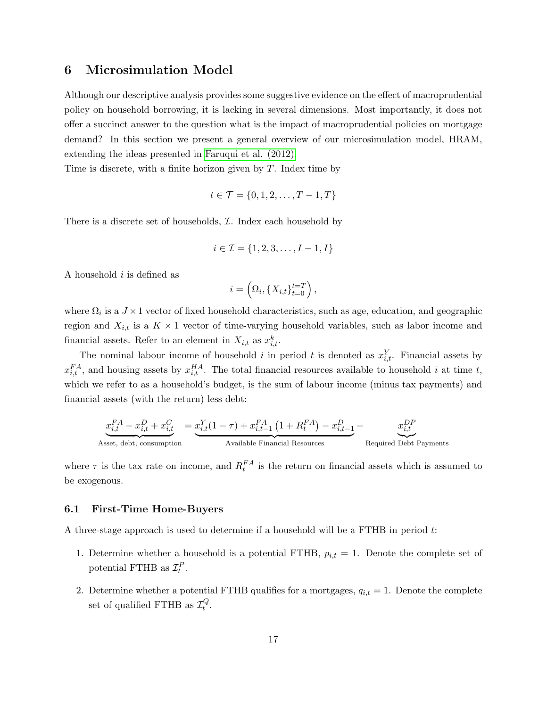### <span id="page-17-0"></span>6 Microsimulation Model

Although our descriptive analysis provides some suggestive evidence on the effect of macroprudential policy on household borrowing, it is lacking in several dimensions. Most importantly, it does not offer a succinct answer to the question what is the impact of macroprudential policies on mortgage demand? In this section we present a general overview of our microsimulation model, HRAM, extending the ideas presented in [Faruqui et al. \(2012\).](#page-28-12)

Time is discrete, with a finite horizon given by  $T$ . Index time by

$$
t \in \mathcal{T} = \{0, 1, 2, \ldots, T - 1, T\}
$$

There is a discrete set of households,  $I$ . Index each household by

$$
i \in \mathcal{I} = \{1, 2, 3, \dots, I - 1, I\}
$$

A household  $i$  is defined as

$$
i = \left(\Omega_i, \{X_{i,t}\}_{t=0}^{t=T}\right),\,
$$

where  $\Omega_i$  is a  $J \times 1$  vector of fixed household characteristics, such as age, education, and geographic region and  $X_{i,t}$  is a  $K \times 1$  vector of time-varying household variables, such as labor income and financial assets. Refer to an element in  $X_{i,t}$  as  $x_{i,t}^k$ .

The nominal labour income of household i in period t is denoted as  $x_{i,t}^Y$ . Financial assets by  $x_{i,t}^{FA}$ , and housing assets by  $x_{i,t}^{HA}$ . The total financial resources available to household i at time t, which we refer to as a household's budget, is the sum of labour income (minus tax payments) and financial assets (with the return) less debt:

$$
\underbrace{x_{i,t}^{FA}-x_{i,t}^D+x_{i,t}^C}_{\text{Asset, debt, consumption}}=\underbrace{x_{i,t}^Y(1-\tau)+x_{i,t-1}^{FA}\left(1+R_t^{FA}\right)-x_{i,t-1}^D}_{\text{Available Financial Resources}}-\underbrace{x_{i,t}^{DP}}_{\text{Required Debt Payments}}
$$

where  $\tau$  is the tax rate on income, and  $R_t^{FA}$  is the return on financial assets which is assumed to be exogenous.

#### 6.1 First-Time Home-Buyers

A three-stage approach is used to determine if a household will be a FTHB in period t:

- 1. Determine whether a household is a potential FTHB,  $p_{i,t} = 1$ . Denote the complete set of potential FTHB as  $\mathcal{I}_t^P$ .
- 2. Determine whether a potential FTHB qualifies for a mortgages,  $q_{i,t} = 1$ . Denote the complete set of qualified FTHB as  $\mathcal{I}_t^Q$  $_t^Q$  .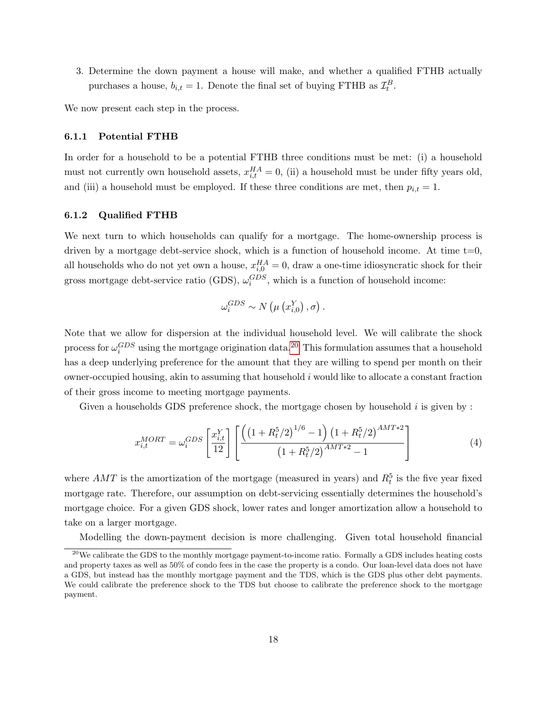3. Determine the down payment a house will make, and whether a qualified FTHB actually purchases a house,  $b_{i,t} = 1$ . Denote the final set of buying FTHB as  $\mathcal{I}_t^B$ .

We now present each step in the process.

#### <span id="page-18-1"></span>6.1.1 Potential FTHB

In order for a household to be a potential FTHB three conditions must be met: (i) a household must not currently own household assets,  $x_{i,t}^{HA} = 0$ , (ii) a household must be under fifty years old, and (iii) a household must be employed. If these three conditions are met, then  $p_{i,t} = 1$ .

### <span id="page-18-2"></span>6.1.2 Qualified FTHB

We next turn to which households can qualify for a mortgage. The home-ownership process is driven by a mortgage debt-service shock, which is a function of household income. At time  $t=0$ , all households who do not yet own a house,  $x_{i,0}^{HA} = 0$ , draw a one-time idiosyncratic shock for their gross mortgage debt-service ratio (GDS),  $\omega_i^{GDS}$ , which is a function of household income:

$$
\omega_i^{GDS} \sim N\left(\mu\left(x_{i,0}^Y\right), \sigma\right).
$$

Note that we allow for dispersion at the individual household level. We will calibrate the shock process for  $\omega_i^{GDS}$  using the mortgage origination data.<sup>[20](#page-18-0)</sup> This formulation assumes that a household has a deep underlying preference for the amount that they are willing to spend per month on their owner-occupied housing, akin to assuming that household  $i$  would like to allocate a constant fraction of their gross income to meeting mortgage payments.

Given a households GDS preference shock, the mortgage chosen by household  $i$  is given by :

$$
x_{i,t}^{MORT} = \omega_i^{GDS} \left[ \frac{x_{i,t}^Y}{12} \right] \left[ \frac{\left( \left( 1 + R_t^5 / 2 \right)^{1/6} - 1 \right) \left( 1 + R_t^5 / 2 \right)^{AMT*2}}{\left( 1 + R_t^5 / 2 \right)^{AMT*2} - 1} \right]
$$
(4)

where  $AMT$  is the amortization of the mortgage (measured in years) and  $R_t^5$  is the five year fixed mortgage rate. Therefore, our assumption on debt-servicing essentially determines the household's mortgage choice. For a given GDS shock, lower rates and longer amortization allow a household to take on a larger mortgage.

<span id="page-18-0"></span>Modelling the down-payment decision is more challenging. Given total household financial

<sup>&</sup>lt;sup>20</sup>We calibrate the GDS to the monthly mortgage payment-to-income ratio. Formally a GDS includes heating costs and property taxes as well as 50% of condo fees in the case the property is a condo. Our loan-level data does not have a GDS, but instead has the monthly mortgage payment and the TDS, which is the GDS plus other debt payments. We could calibrate the preference shock to the TDS but choose to calibrate the preference shock to the mortgage payment.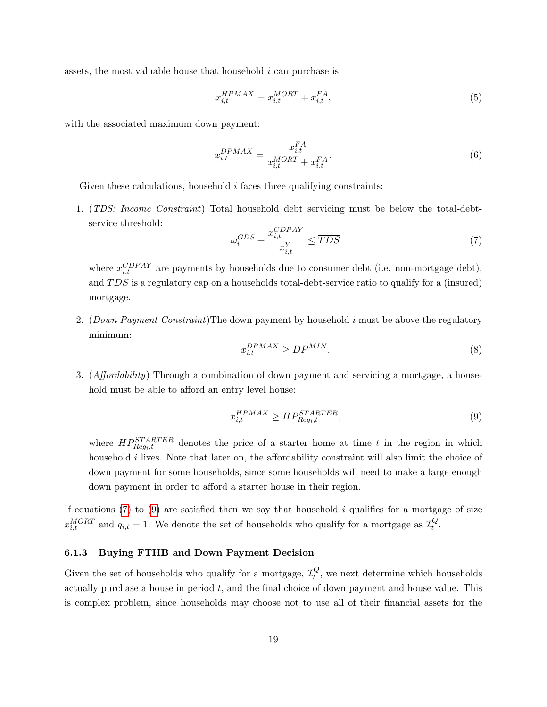assets, the most valuable house that household i can purchase is

$$
x_{i,t}^{HPMAX} = x_{i,t}^{MORT} + x_{i,t}^{FA},\tag{5}
$$

with the associated maximum down payment:

$$
x_{i,t}^{DPMAX} = \frac{x_{i,t}^{FA}}{x_{i,t}^{MORT} + x_{i,t}^{FA}}.\tag{6}
$$

Given these calculations, household  $i$  faces three qualifying constraints:

1. (TDS: Income Constraint) Total household debt servicing must be below the total-debtservice threshold:

<span id="page-19-0"></span>
$$
\omega_i^{GDS} + \frac{x_{i,t}^{CDPAY}}{x_{i,t}^Y} \leq \overline{TDS}
$$
\n
$$
\tag{7}
$$

where  $x_{i,t}^{CDPAY}$  are payments by households due to consumer debt (i.e. non-mortgage debt), and  $\overline{TDS}$  is a regulatory cap on a households total-debt-service ratio to qualify for a (insured) mortgage.

2. (Down Payment Constraint) The down payment by household i must be above the regulatory minimum:

$$
x_{i,t}^{DPMAX} \ge D P^{MIN}.\tag{8}
$$

3. (Affordability) Through a combination of down payment and servicing a mortgage, a household must be able to afford an entry level house:

<span id="page-19-1"></span>
$$
x_{i,t}^{HPMAX} \ge HP_{Reg_i,t}^{STARTER},\tag{9}
$$

where  $HP_{Reg_i,t}^{STARTER}$  denotes the price of a starter home at time t in the region in which household *i* lives. Note that later on, the affordability constraint will also limit the choice of down payment for some households, since some households will need to make a large enough down payment in order to afford a starter house in their region.

If equations [\(7\)](#page-19-0) to [\(9\)](#page-19-1) are satisfied then we say that household  $i$  qualifies for a mortgage of size  $x_{i,t}^{MORT}$  and  $q_{i,t} = 1$ . We denote the set of households who qualify for a mortgage as  $\mathcal{I}_t^Q$  $_t^Q$  .

#### <span id="page-19-2"></span>6.1.3 Buying FTHB and Down Payment Decision

Given the set of households who qualify for a mortgage,  $\mathcal{I}^Q_t$  $t_t^Q$ , we next determine which households actually purchase a house in period  $t$ , and the final choice of down payment and house value. This is complex problem, since households may choose not to use all of their financial assets for the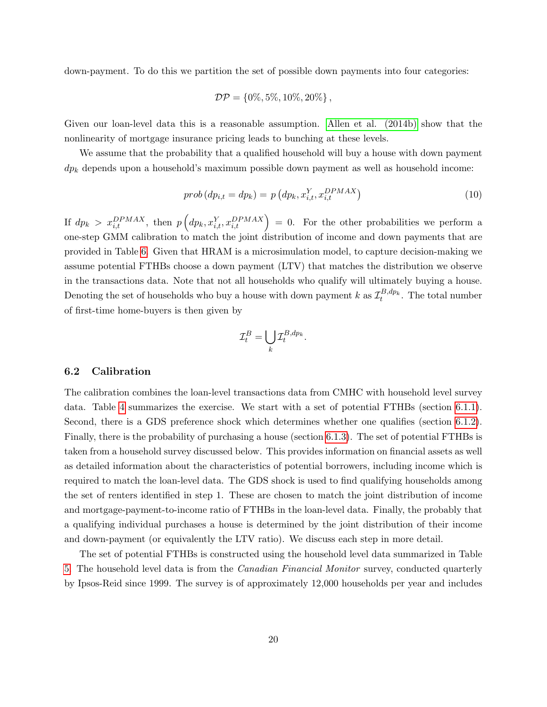down-payment. To do this we partition the set of possible down payments into four categories:

$$
\mathcal{DP} = \{0\%, 5\%, 10\%, 20\%\},\
$$

Given our loan-level data this is a reasonable assumption. [Allen et al. \(2014b\)](#page-28-10) show that the nonlinearity of mortgage insurance pricing leads to bunching at these levels.

We assume that the probability that a qualified household will buy a house with down payment  $dp_k$  depends upon a household's maximum possible down payment as well as household income:

<span id="page-20-0"></span>
$$
prob\left(dp_{i,t} = dp_k\right) = p\left(dp_k, x_{i,t}^Y, x_{i,t}^{DPMAX}\right) \tag{10}
$$

If  $dp_k > x_{i,t}^{DPMAX}$ , then  $p\left(dp_k, x_{i,t}^Y, x_{i,t}^{DPMAX}\right) = 0$ . For the other probabilities we perform a one-step GMM calibration to match the joint distribution of income and down payments that are provided in Table [6.](#page-23-0) Given that HRAM is a microsimulation model, to capture decision-making we assume potential FTHBs choose a down payment (LTV) that matches the distribution we observe in the transactions data. Note that not all households who qualify will ultimately buying a house. Denoting the set of households who buy a house with down payment k as  $\mathcal{I}^{B,dp_k}_t$ . The total number of first-time home-buyers is then given by

$$
\mathcal{I}_t^B = \bigcup_k \mathcal{I}_t^{B,dp_k}.
$$

#### 6.2 Calibration

The calibration combines the loan-level transactions data from CMHC with household level survey data. Table [4](#page-21-0) summarizes the exercise. We start with a set of potential FTHBs (section [6.1.1\)](#page-18-1). Second, there is a GDS preference shock which determines whether one qualifies (section [6.1.2\)](#page-18-2). Finally, there is the probability of purchasing a house (section [6.1.3\)](#page-19-2). The set of potential FTHBs is taken from a household survey discussed below. This provides information on financial assets as well as detailed information about the characteristics of potential borrowers, including income which is required to match the loan-level data. The GDS shock is used to find qualifying households among the set of renters identified in step 1. These are chosen to match the joint distribution of income and mortgage-payment-to-income ratio of FTHBs in the loan-level data. Finally, the probably that a qualifying individual purchases a house is determined by the joint distribution of their income and down-payment (or equivalently the LTV ratio). We discuss each step in more detail.

The set of potential FTHBs is constructed using the household level data summarized in Table [5.](#page-22-0) The household level data is from the Canadian Financial Monitor survey, conducted quarterly by Ipsos-Reid since 1999. The survey is of approximately 12,000 households per year and includes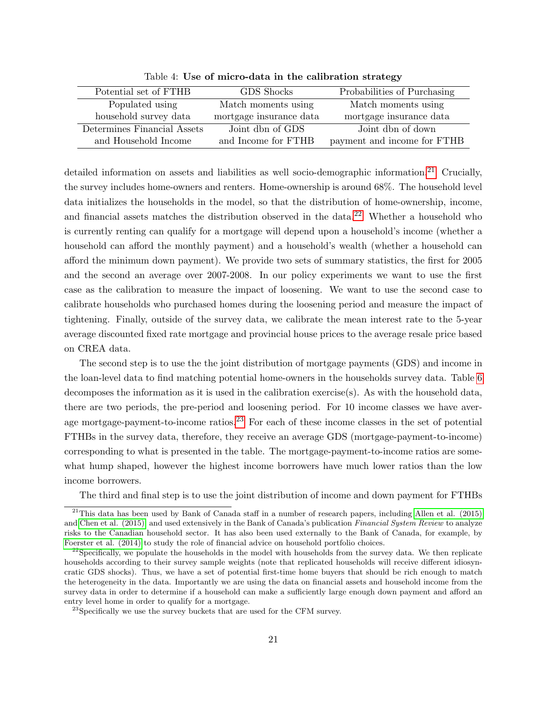| Potential set of FTHB       | GDS Shocks              | Probabilities of Purchasing |
|-----------------------------|-------------------------|-----------------------------|
| Populated using             | Match moments using     | Match moments using         |
| household survey data       | mortgage insurance data | mortgage insurance data     |
| Determines Financial Assets | Joint dbn of GDS        | Joint dbn of down           |
| and Household Income        | and Income for FTHB     | payment and income for FTHB |

<span id="page-21-0"></span>Table 4: Use of micro-data in the calibration strategy

detailed information on assets and liabilities as well socio-demographic information.<sup>[21](#page-21-1)</sup> Crucially, the survey includes home-owners and renters. Home-ownership is around 68%. The household level data initializes the households in the model, so that the distribution of home-ownership, income, and financial assets matches the distribution observed in the data.<sup>[22](#page-21-2)</sup> Whether a household who is currently renting can qualify for a mortgage will depend upon a household's income (whether a household can afford the monthly payment) and a household's wealth (whether a household can afford the minimum down payment). We provide two sets of summary statistics, the first for 2005 and the second an average over 2007-2008. In our policy experiments we want to use the first case as the calibration to measure the impact of loosening. We want to use the second case to calibrate households who purchased homes during the loosening period and measure the impact of tightening. Finally, outside of the survey data, we calibrate the mean interest rate to the 5-year average discounted fixed rate mortgage and provincial house prices to the average resale price based on CREA data.

The second step is to use the the joint distribution of mortgage payments (GDS) and income in the loan-level data to find matching potential home-owners in the households survey data. Table [6](#page-23-0) decomposes the information as it is used in the calibration exercise(s). As with the household data, there are two periods, the pre-period and loosening period. For 10 income classes we have aver-age mortgage-payment-to-income ratios.<sup>[23](#page-21-3)</sup> For each of these income classes in the set of potential FTHBs in the survey data, therefore, they receive an average GDS (mortgage-payment-to-income) corresponding to what is presented in the table. The mortgage-payment-to-income ratios are somewhat hump shaped, however the highest income borrowers have much lower ratios than the low income borrowers.

<span id="page-21-1"></span>The third and final step is to use the joint distribution of income and down payment for FTHBs

<sup>&</sup>lt;sup>21</sup>This data has been used by Bank of Canada staff in a number of research papers, including [Allen et al. \(2015\)](#page-28-13) and [Chen et al. \(2015\),](#page-28-14) and used extensively in the Bank of Canada's publication Financial System Review to analyze risks to the Canadian household sector. It has also been used externally to the Bank of Canada, for example, by [Foerster et al. \(2014\)](#page-28-15) to study the role of financial advice on household portfolio choices.

<span id="page-21-2"></span> $^{22}$ Specifically, we populate the households in the model with households from the survey data. We then replicate households according to their survey sample weights (note that replicated households will receive different idiosyncratic GDS shocks). Thus, we have a set of potential first-time home buyers that should be rich enough to match the heterogeneity in the data. Importantly we are using the data on financial assets and household income from the survey data in order to determine if a household can make a sufficiently large enough down payment and afford an entry level home in order to qualify for a mortgage.

<span id="page-21-3"></span> $^{23}$ Specifically we use the survey buckets that are used for the CFM survey.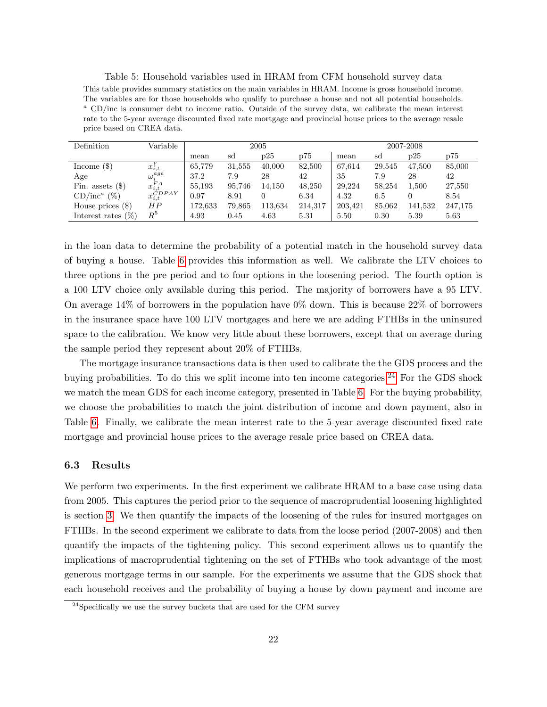<span id="page-22-0"></span>Table 5: Household variables used in HRAM from CFM household survey data This table provides summary statistics on the main variables in HRAM. Income is gross household income. The variables are for those households who qualify to purchase a house and not all potential households.  $a$  CD/inc is consumer debt to income ratio. Outside of the survey data, we calibrate the mean interest rate to the 5-year average discounted fixed rate mortgage and provincial house prices to the average resale price based on CREA data.

| Definition            | Variable                     | 2005    |        |         | 2007-2008 |         |        |           |         |
|-----------------------|------------------------------|---------|--------|---------|-----------|---------|--------|-----------|---------|
|                       |                              | mean    | sd     | p25     | p75       | mean    | sd     | p25       | p75     |
| Income $(\$)$         | $x_{i,t}$                    | 65,779  | 31,555 | 40,000  | 82,500    | 67,614  | 29,545 | 47,500    | 85,000  |
| Age                   | $\omega_i^{age}$             | 37.2    | 7.9    | 28      | 42        | 35      | 7.9    | 28        | 42      |
| Fin. assets $(\$)$    | $x_{i,t}^{FA}$               | 55,193  | 95,746 | 14,150  | 48,250    | 29,224  | 58,254 | $1.500\,$ | 27,550  |
| $(\%)$<br>$CD/inc^a$  | $x_{i,t}^{\widetilde CDPAY}$ | 0.97    | 8.91   |         | 6.34      | 4.32    | 6.5    |           | 8.54    |
| House prices $(\$)$   | ΗP                           | 172.633 | 79,865 | 113,634 | 214,317   | 203,421 | 85,062 | 141,532   | 247,175 |
| Interest rates $(\%)$ | $R^5\,$                      | 4.93    | 0.45   | 4.63    | 5.31      | 5.50    | 0.30   | 5.39      | 5.63    |

in the loan data to determine the probability of a potential match in the household survey data of buying a house. Table [6](#page-23-0) provides this information as well. We calibrate the LTV choices to three options in the pre period and to four options in the loosening period. The fourth option is a 100 LTV choice only available during this period. The majority of borrowers have a 95 LTV. On average 14% of borrowers in the population have 0% down. This is because 22% of borrowers in the insurance space have 100 LTV mortgages and here we are adding FTHBs in the uninsured space to the calibration. We know very little about these borrowers, except that on average during the sample period they represent about 20% of FTHBs.

The mortgage insurance transactions data is then used to calibrate the the GDS process and the buying probabilities. To do this we split income into ten income categories.<sup>[24](#page-22-1)</sup> For the GDS shock we match the mean GDS for each income category, presented in Table [6.](#page-23-0) For the buying probability, we choose the probabilities to match the joint distribution of income and down payment, also in Table [6.](#page-23-0) Finally, we calibrate the mean interest rate to the 5-year average discounted fixed rate mortgage and provincial house prices to the average resale price based on CREA data.

### 6.3 Results

We perform two experiments. In the first experiment we calibrate HRAM to a base case using data from 2005. This captures the period prior to the sequence of macroprudential loosening highlighted is section [3.](#page-5-0) We then quantify the impacts of the loosening of the rules for insured mortgages on FTHBs. In the second experiment we calibrate to data from the loose period (2007-2008) and then quantify the impacts of the tightening policy. This second experiment allows us to quantify the implications of macroprudential tightening on the set of FTHBs who took advantage of the most generous mortgage terms in our sample. For the experiments we assume that the GDS shock that each household receives and the probability of buying a house by down payment and income are

<span id="page-22-1"></span><sup>&</sup>lt;sup>24</sup>Specifically we use the survey buckets that are used for the CFM survey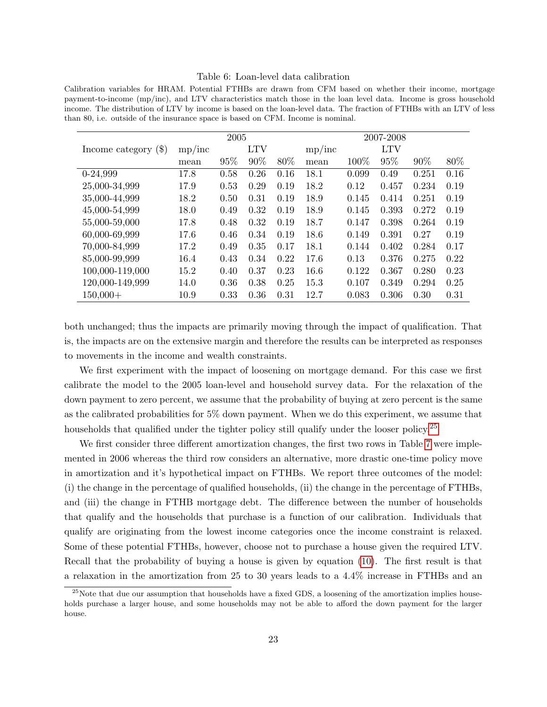#### <span id="page-23-0"></span>Table 6: Loan-level data calibration

Calibration variables for HRAM. Potential FTHBs are drawn from CFM based on whether their income, mortgage payment-to-income (mp/inc), and LTV characteristics match those in the loan level data. Income is gross household income. The distribution of LTV by income is based on the loan-level data. The fraction of FTHBs with an LTV of less than 80, i.e. outside of the insurance space is based on CFM. Income is nominal.

|                        |        | 2005 |            |      |        |       | 2007-2008  |       |      |
|------------------------|--------|------|------------|------|--------|-------|------------|-------|------|
| Income category $(\$)$ | mp/inc |      | <b>LTV</b> |      | mp/inc |       | <b>LTV</b> |       |      |
|                        | mean   | 95%  | 90%        | 80%  | mean   | 100%  | 95%        | 90%   | 80\% |
| $0-24,999$             | 17.8   | 0.58 | 0.26       | 0.16 | 18.1   | 0.099 | 0.49       | 0.251 | 0.16 |
| 25,000-34,999          | 17.9   | 0.53 | 0.29       | 0.19 | 18.2   | 0.12  | 0.457      | 0.234 | 0.19 |
| 35,000-44,999          | 18.2   | 0.50 | 0.31       | 0.19 | 18.9   | 0.145 | 0.414      | 0.251 | 0.19 |
| 45,000-54,999          | 18.0   | 0.49 | 0.32       | 0.19 | 18.9   | 0.145 | 0.393      | 0.272 | 0.19 |
| 55,000-59,000          | 17.8   | 0.48 | 0.32       | 0.19 | 18.7   | 0.147 | 0.398      | 0.264 | 0.19 |
| 60,000-69,999          | 17.6   | 0.46 | 0.34       | 0.19 | 18.6   | 0.149 | 0.391      | 0.27  | 0.19 |
| 70,000-84,999          | 17.2   | 0.49 | 0.35       | 0.17 | 18.1   | 0.144 | 0.402      | 0.284 | 0.17 |
| 85,000-99,999          | 16.4   | 0.43 | 0.34       | 0.22 | 17.6   | 0.13  | 0.376      | 0.275 | 0.22 |
| 100,000-119,000        | 15.2   | 0.40 | 0.37       | 0.23 | 16.6   | 0.122 | 0.367      | 0.280 | 0.23 |
| 120,000-149,999        | 14.0   | 0.36 | 0.38       | 0.25 | 15.3   | 0.107 | 0.349      | 0.294 | 0.25 |
| $150,000+$             | 10.9   | 0.33 | 0.36       | 0.31 | 12.7   | 0.083 | 0.306      | 0.30  | 0.31 |

both unchanged; thus the impacts are primarily moving through the impact of qualification. That is, the impacts are on the extensive margin and therefore the results can be interpreted as responses to movements in the income and wealth constraints.

We first experiment with the impact of loosening on mortgage demand. For this case we first calibrate the model to the 2005 loan-level and household survey data. For the relaxation of the down payment to zero percent, we assume that the probability of buying at zero percent is the same as the calibrated probabilities for 5% down payment. When we do this experiment, we assume that households that qualified under the tighter policy still qualify under the looser policy.<sup>[25](#page-23-1)</sup>

We first consider three different amortization changes, the first two rows in Table [7](#page-25-0) were implemented in 2006 whereas the third row considers an alternative, more drastic one-time policy move in amortization and it's hypothetical impact on FTHBs. We report three outcomes of the model: (i) the change in the percentage of qualified households, (ii) the change in the percentage of FTHBs, and (iii) the change in FTHB mortgage debt. The difference between the number of households that qualify and the households that purchase is a function of our calibration. Individuals that qualify are originating from the lowest income categories once the income constraint is relaxed. Some of these potential FTHBs, however, choose not to purchase a house given the required LTV. Recall that the probability of buying a house is given by equation [\(10\)](#page-20-0). The first result is that a relaxation in the amortization from 25 to 30 years leads to a 4.4% increase in FTHBs and an

<span id="page-23-1"></span><sup>&</sup>lt;sup>25</sup>Note that due our assumption that households have a fixed GDS, a loosening of the amortization implies households purchase a larger house, and some households may not be able to afford the down payment for the larger house.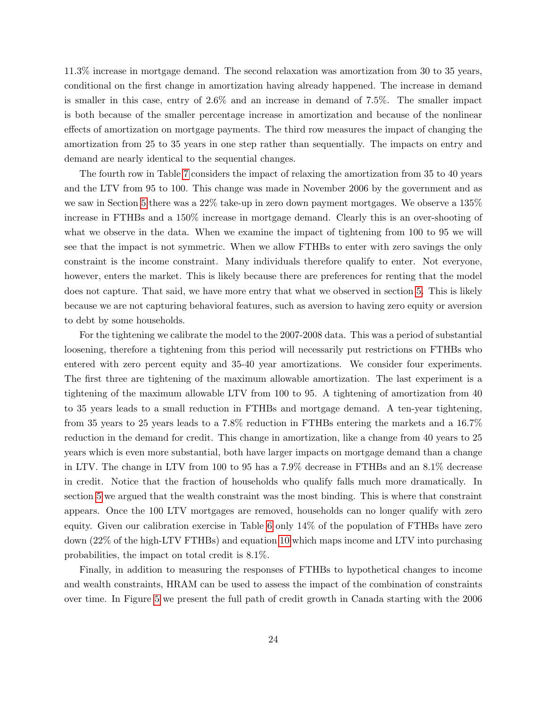11.3% increase in mortgage demand. The second relaxation was amortization from 30 to 35 years, conditional on the first change in amortization having already happened. The increase in demand is smaller in this case, entry of 2.6% and an increase in demand of 7.5%. The smaller impact is both because of the smaller percentage increase in amortization and because of the nonlinear effects of amortization on mortgage payments. The third row measures the impact of changing the amortization from 25 to 35 years in one step rather than sequentially. The impacts on entry and demand are nearly identical to the sequential changes.

The fourth row in Table [7](#page-25-0) considers the impact of relaxing the amortization from 35 to 40 years and the LTV from 95 to 100. This change was made in November 2006 by the government and as we saw in Section [5](#page-12-0) there was a 22% take-up in zero down payment mortgages. We observe a 135% increase in FTHBs and a 150% increase in mortgage demand. Clearly this is an over-shooting of what we observe in the data. When we examine the impact of tightening from 100 to 95 we will see that the impact is not symmetric. When we allow FTHBs to enter with zero savings the only constraint is the income constraint. Many individuals therefore qualify to enter. Not everyone, however, enters the market. This is likely because there are preferences for renting that the model does not capture. That said, we have more entry that what we observed in section [5.](#page-12-0) This is likely because we are not capturing behavioral features, such as aversion to having zero equity or aversion to debt by some households.

For the tightening we calibrate the model to the 2007-2008 data. This was a period of substantial loosening, therefore a tightening from this period will necessarily put restrictions on FTHBs who entered with zero percent equity and 35-40 year amortizations. We consider four experiments. The first three are tightening of the maximum allowable amortization. The last experiment is a tightening of the maximum allowable LTV from 100 to 95. A tightening of amortization from 40 to 35 years leads to a small reduction in FTHBs and mortgage demand. A ten-year tightening, from 35 years to 25 years leads to a 7.8% reduction in FTHBs entering the markets and a 16.7% reduction in the demand for credit. This change in amortization, like a change from 40 years to 25 years which is even more substantial, both have larger impacts on mortgage demand than a change in LTV. The change in LTV from 100 to 95 has a 7.9% decrease in FTHBs and an 8.1% decrease in credit. Notice that the fraction of households who qualify falls much more dramatically. In section [5](#page-12-0) we argued that the wealth constraint was the most binding. This is where that constraint appears. Once the 100 LTV mortgages are removed, households can no longer qualify with zero equity. Given our calibration exercise in Table [6](#page-23-0) only 14% of the population of FTHBs have zero down (22% of the high-LTV FTHBs) and equation [10](#page-20-0) which maps income and LTV into purchasing probabilities, the impact on total credit is 8.1%.

Finally, in addition to measuring the responses of FTHBs to hypothetical changes to income and wealth constraints, HRAM can be used to assess the impact of the combination of constraints over time. In Figure [5](#page-26-0) we present the full path of credit growth in Canada starting with the 2006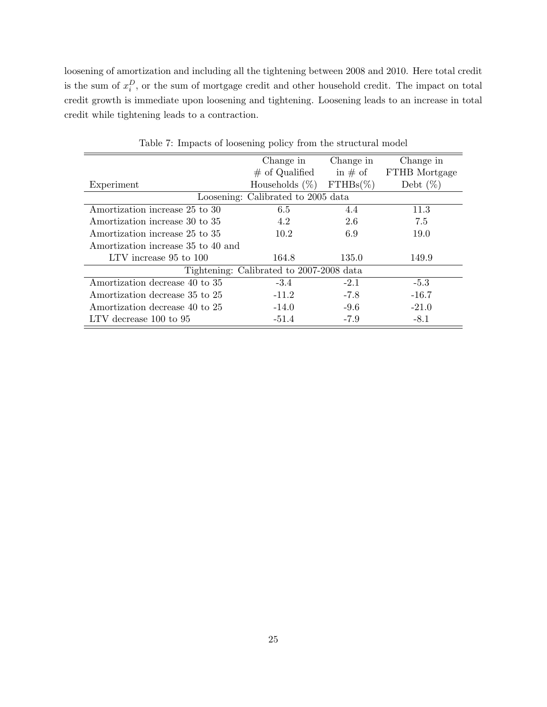loosening of amortization and including all the tightening between 2008 and 2010. Here total credit is the sum of  $x_i^D$ , or the sum of mortgage credit and other household credit. The impact on total credit growth is immediate upon loosening and tightening. Loosening leads to an increase in total credit while tightening leads to a contraction.

|                                    | Change in                                | Change in   | Change in     |
|------------------------------------|------------------------------------------|-------------|---------------|
|                                    | $\#$ of Qualified                        | in $\#$ of  | FTHB Mortgage |
| Experiment                         | Households $(\%)$                        | $FTHBs(\%)$ | Debt $(\%)$   |
|                                    | Loosening: Calibrated to 2005 data       |             |               |
| Amortization increase 25 to 30     | 6.5                                      | 4.4         | 11.3          |
| Amortization increase 30 to 35     | 4.2                                      | 2.6         | 7.5           |
| Amortization increase 25 to 35     | 10.2                                     | 6.9         | 19.0          |
| Amortization increase 35 to 40 and |                                          |             |               |
| LTV increase 95 to 100             | 164.8                                    | 135.0       | 149.9         |
|                                    | Tightening: Calibrated to 2007-2008 data |             |               |
| Amortization decrease 40 to 35     | $-3.4$                                   | $-2.1$      | $-5.3$        |
| Amortization decrease 35 to 25     | $-11.2$                                  | $-7.8$      | $-16.7$       |
| Amortization decrease 40 to 25     | $-14.0$                                  | $-9.6$      | $-21.0$       |
| LTV decrease 100 to 95             | $-51.4$                                  | $-7.9$      | $-8.1$        |

<span id="page-25-0"></span>Table 7: Impacts of loosening policy from the structural model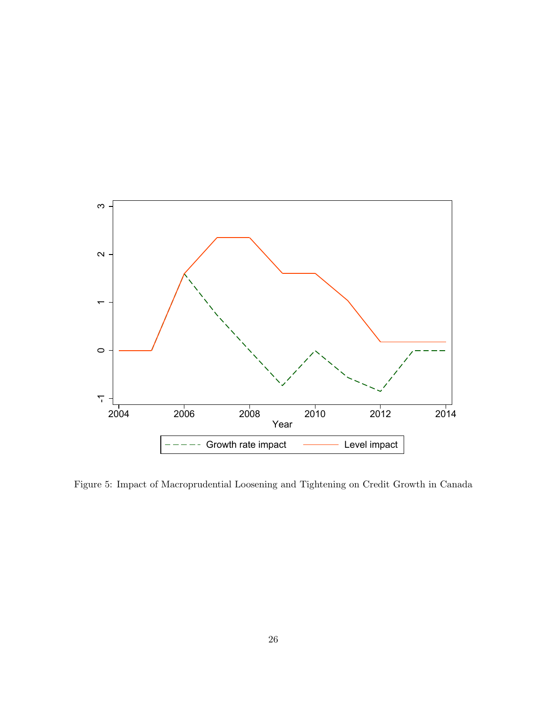

<span id="page-26-0"></span>Figure 5: Impact of Macroprudential Loosening and Tightening on Credit Growth in Canada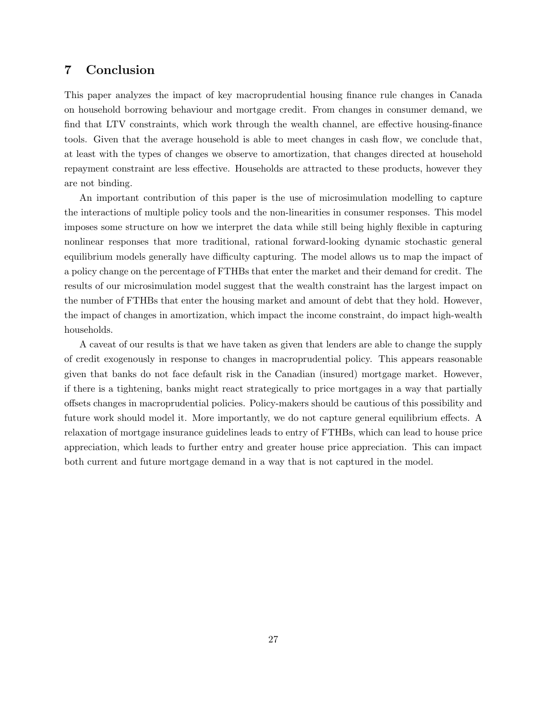### <span id="page-27-0"></span>7 Conclusion

This paper analyzes the impact of key macroprudential housing finance rule changes in Canada on household borrowing behaviour and mortgage credit. From changes in consumer demand, we find that LTV constraints, which work through the wealth channel, are effective housing-finance tools. Given that the average household is able to meet changes in cash flow, we conclude that, at least with the types of changes we observe to amortization, that changes directed at household repayment constraint are less effective. Households are attracted to these products, however they are not binding.

An important contribution of this paper is the use of microsimulation modelling to capture the interactions of multiple policy tools and the non-linearities in consumer responses. This model imposes some structure on how we interpret the data while still being highly flexible in capturing nonlinear responses that more traditional, rational forward-looking dynamic stochastic general equilibrium models generally have difficulty capturing. The model allows us to map the impact of a policy change on the percentage of FTHBs that enter the market and their demand for credit. The results of our microsimulation model suggest that the wealth constraint has the largest impact on the number of FTHBs that enter the housing market and amount of debt that they hold. However, the impact of changes in amortization, which impact the income constraint, do impact high-wealth households.

A caveat of our results is that we have taken as given that lenders are able to change the supply of credit exogenously in response to changes in macroprudential policy. This appears reasonable given that banks do not face default risk in the Canadian (insured) mortgage market. However, if there is a tightening, banks might react strategically to price mortgages in a way that partially offsets changes in macroprudential policies. Policy-makers should be cautious of this possibility and future work should model it. More importantly, we do not capture general equilibrium effects. A relaxation of mortgage insurance guidelines leads to entry of FTHBs, which can lead to house price appreciation, which leads to further entry and greater house price appreciation. This can impact both current and future mortgage demand in a way that is not captured in the model.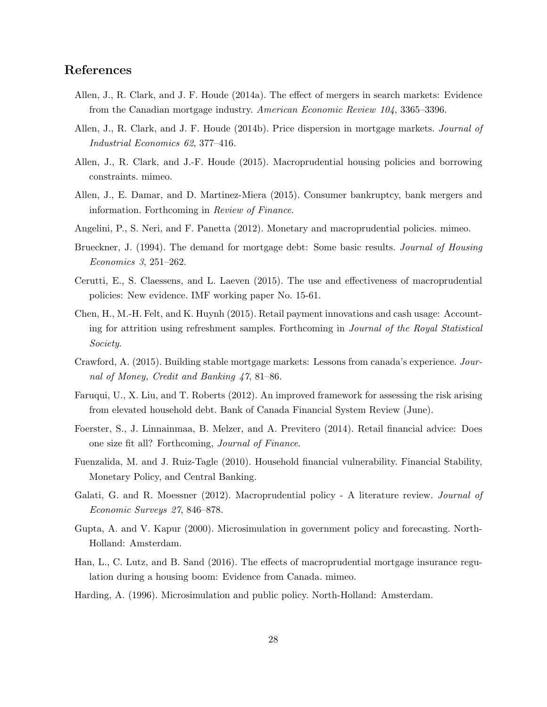## References

- <span id="page-28-9"></span>Allen, J., R. Clark, and J. F. Houde (2014a). The effect of mergers in search markets: Evidence from the Canadian mortgage industry. American Economic Review 104, 3365–3396.
- <span id="page-28-10"></span>Allen, J., R. Clark, and J. F. Houde (2014b). Price dispersion in mortgage markets. Journal of Industrial Economics 62, 377–416.
- <span id="page-28-1"></span>Allen, J., R. Clark, and J.-F. Houde (2015). Macroprudential housing policies and borrowing constraints. mimeo.
- <span id="page-28-13"></span>Allen, J., E. Damar, and D. Martinez-Miera (2015). Consumer bankruptcy, bank mergers and information. Forthcoming in Review of Finance.
- <span id="page-28-5"></span>Angelini, P., S. Neri, and F. Panetta (2012). Monetary and macroprudential policies. mimeo.
- <span id="page-28-11"></span>Brueckner, J. (1994). The demand for mortgage debt: Some basic results. Journal of Housing Economics 3, 251–262.
- <span id="page-28-3"></span>Cerutti, E., S. Claessens, and L. Laeven (2015). The use and effectiveness of macroprudential policies: New evidence. IMF working paper No. 15-61.
- <span id="page-28-14"></span>Chen, H., M.-H. Felt, and K. Huynh (2015). Retail payment innovations and cash usage: Accounting for attrition using refreshment samples. Forthcoming in Journal of the Royal Statistical Society.
- <span id="page-28-8"></span>Crawford, A. (2015). Building stable mortgage markets: Lessons from canada's experience. Journal of Money, Credit and Banking 47, 81–86.
- <span id="page-28-12"></span>Faruqui, U., X. Liu, and T. Roberts (2012). An improved framework for assessing the risk arising from elevated household debt. Bank of Canada Financial System Review (June).
- <span id="page-28-15"></span>Foerster, S., J. Linnainmaa, B. Melzer, and A. Previtero (2014). Retail financial advice: Does one size fit all? Forthcoming, Journal of Finance.
- <span id="page-28-4"></span>Fuenzalida, M. and J. Ruiz-Tagle (2010). Household financial vulnerability. Financial Stability, Monetary Policy, and Central Banking.
- <span id="page-28-0"></span>Galati, G. and R. Moessner (2012). Macroprudential policy - A literature review. *Journal of* Economic Surveys 27, 846–878.
- <span id="page-28-7"></span>Gupta, A. and V. Kapur (2000). Microsimulation in government policy and forecasting. North-Holland: Amsterdam.
- <span id="page-28-2"></span>Han, L., C. Lutz, and B. Sand (2016). The effects of macroprudential mortgage insurance regulation during a housing boom: Evidence from Canada. mimeo.
- <span id="page-28-6"></span>Harding, A. (1996). Microsimulation and public policy. North-Holland: Amsterdam.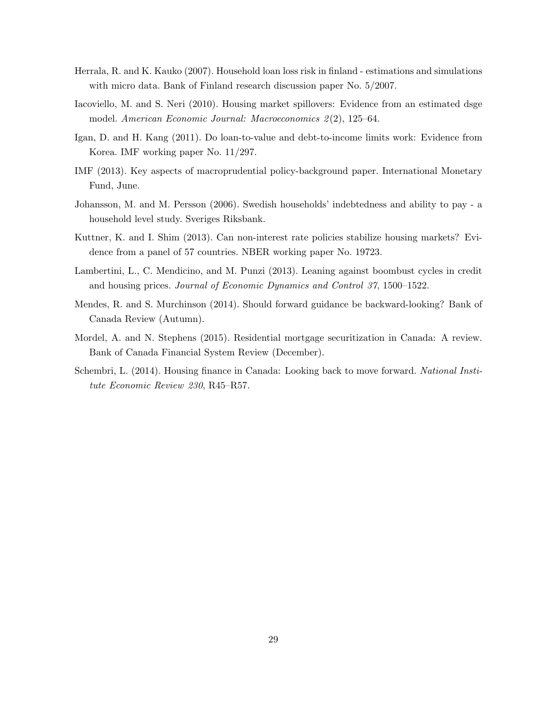- <span id="page-29-2"></span>Herrala, R. and K. Kauko (2007). Household loan loss risk in finland - estimations and simulations with micro data. Bank of Finland research discussion paper No. 5/2007.
- <span id="page-29-5"></span>Iacoviello, M. and S. Neri (2010). Housing market spillovers: Evidence from an estimated dsge model. American Economic Journal: Macroeconomics 2 (2), 125–64.
- <span id="page-29-0"></span>Igan, D. and H. Kang (2011). Do loan-to-value and debt-to-income limits work: Evidence from Korea. IMF working paper No. 11/297.
- <span id="page-29-8"></span>IMF (2013). Key aspects of macroprudential policy-background paper. International Monetary Fund, June.
- <span id="page-29-3"></span>Johansson, M. and M. Persson (2006). Swedish households' indebtedness and ability to pay - a household level study. Sveriges Riksbank.
- <span id="page-29-1"></span>Kuttner, K. and I. Shim (2013). Can non-interest rate policies stabilize housing markets? Evidence from a panel of 57 countries. NBER working paper No. 19723.
- <span id="page-29-4"></span>Lambertini, L., C. Mendicino, and M. Punzi (2013). Leaning against boombust cycles in credit and housing prices. Journal of Economic Dynamics and Control 37, 1500–1522.
- <span id="page-29-9"></span>Mendes, R. and S. Murchinson (2014). Should forward guidance be backward-looking? Bank of Canada Review (Autumn).
- <span id="page-29-7"></span>Mordel, A. and N. Stephens (2015). Residential mortgage securitization in Canada: A review. Bank of Canada Financial System Review (December).
- <span id="page-29-6"></span>Schembri, L. (2014). Housing finance in Canada: Looking back to move forward. National Institute Economic Review 230, R45–R57.